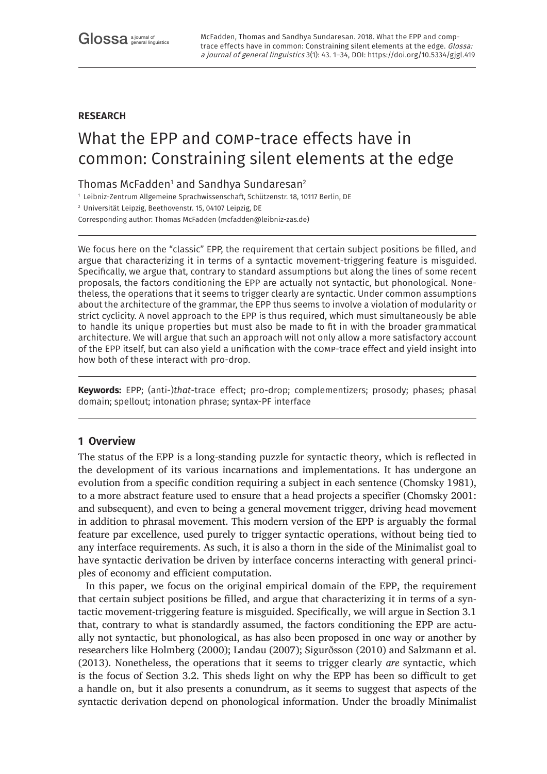# **RESEARCH**

# What the EPP and comp-trace effects have in common: Constraining silent elements at the edge

# Thomas McFadden $^{\rm 1}$  and Sandhya Sundaresan $^{\rm 2}$

<sup>1</sup> Leibniz-Zentrum Allgemeine Sprachwissenschaft, Schützenstr. 18, 10117 Berlin, DE

<sup>2</sup> Universität Leipzig, Beethovenstr. 15, 04107 Leipzig, DE

Corresponding author: Thomas McFadden [\(mcfadden@leibniz-zas.de](mailto:mcfadden@leibniz-zas.de))

We focus here on the "classic" EPP, the requirement that certain subject positions be filled, and argue that characterizing it in terms of a syntactic movement-triggering feature is misguided. Specifically, we argue that, contrary to standard assumptions but along the lines of some recent proposals, the factors conditioning the EPP are actually not syntactic, but phonological. Nonetheless, the operations that it seems to trigger clearly are syntactic. Under common assumptions about the architecture of the grammar, the EPP thus seems to involve a violation of modularity or strict cyclicity. A novel approach to the EPP is thus required, which must simultaneously be able to handle its unique properties but must also be made to fit in with the broader grammatical architecture. We will argue that such an approach will not only allow a more satisfactory account of the EPP itself, but can also yield a unification with the comp-trace effect and yield insight into how both of these interact with pro-drop.

**Keywords:** EPP; (anti-)*that*-trace effect; pro-drop; complementizers; prosody; phases; phasal domain; spellout; intonation phrase; syntax-PF interface

# **1 Overview**

The status of the EPP is a long-standing puzzle for syntactic theory, which is reflected in the development of its various incarnations and implementations. It has undergone an evolution from a specific condition requiring a subject in each sentence (Chomsky 1981), to a more abstract feature used to ensure that a head projects a specifier (Chomsky 2001: and subsequent), and even to being a general movement trigger, driving head movement in addition to phrasal movement. This modern version of the EPP is arguably the formal feature par excellence, used purely to trigger syntactic operations, without being tied to any interface requirements. As such, it is also a thorn in the side of the Minimalist goal to have syntactic derivation be driven by interface concerns interacting with general principles of economy and efficient computation.

In this paper, we focus on the original empirical domain of the EPP, the requirement that certain subject positions be filled, and argue that characterizing it in terms of a syntactic movement-triggering feature is misguided. Specifically, we will argue in Section 3.1 that, contrary to what is standardly assumed, the factors conditioning the EPP are actually not syntactic, but phonological, as has also been proposed in one way or another by researchers like Holmberg (2000); Landau (2007); Sigurðsson (2010) and Salzmann et al. (2013). Nonetheless, the operations that it seems to trigger clearly *are* syntactic, which is the focus of Section 3.2. This sheds light on why the EPP has been so difficult to get a handle on, but it also presents a conundrum, as it seems to suggest that aspects of the syntactic derivation depend on phonological information. Under the broadly Minimalist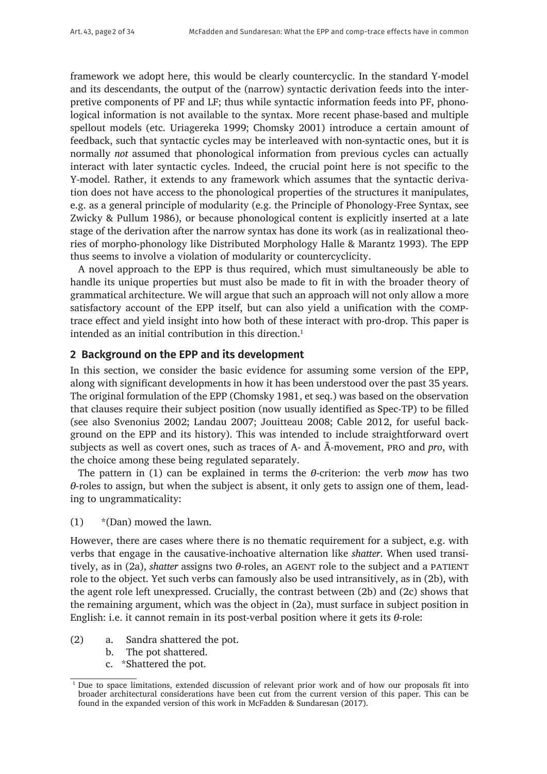framework we adopt here, this would be clearly countercyclic. In the standard Y-model and its descendants, the output of the (narrow) syntactic derivation feeds into the interpretive components of PF and LF; thus while syntactic information feeds into PF, phonological information is not available to the syntax. More recent phase-based and multiple spellout models (etc. Uriagereka 1999; Chomsky 2001) introduce a certain amount of feedback, such that syntactic cycles may be interleaved with non-syntactic ones, but it is normally *not* assumed that phonological information from previous cycles can actually interact with later syntactic cycles. Indeed, the crucial point here is not specific to the Y-model. Rather, it extends to any framework which assumes that the syntactic derivation does not have access to the phonological properties of the structures it manipulates, e.g. as a general principle of modularity (e.g. the Principle of Phonology-Free Syntax, see Zwicky & Pullum 1986), or because phonological content is explicitly inserted at a late stage of the derivation after the narrow syntax has done its work (as in realizational theories of morpho-phonology like Distributed Morphology Halle & Marantz 1993). The EPP thus seems to involve a violation of modularity or countercyclicity.

A novel approach to the EPP is thus required, which must simultaneously be able to handle its unique properties but must also be made to fit in with the broader theory of grammatical architecture. We will argue that such an approach will not only allow a more satisfactory account of the EPP itself, but can also yield a unification with the comptrace effect and yield insight into how both of these interact with pro-drop. This paper is intended as an initial contribution in this direction. $<sup>1</sup>$ </sup>

### **2 Background on the EPP and its development**

In this section, we consider the basic evidence for assuming some version of the EPP, along with significant developments in how it has been understood over the past 35 years. The original formulation of the EPP (Chomsky 1981, et seq.) was based on the observation that clauses require their subject position (now usually identified as Spec-TP) to be filled (see also Svenonius 2002; Landau 2007; Jouitteau 2008; Cable 2012, for useful background on the EPP and its history). This was intended to include straightforward overt subjects as well as covert ones, such as traces of A- and Ā-movement, pro and *pro*, with the choice among these being regulated separately.

The pattern in (1) can be explained in terms the *θ*-criterion: the verb *mow* has two *θ*-roles to assign, but when the subject is absent, it only gets to assign one of them, leading to ungrammaticality:

(1) \*(Dan) mowed the lawn.

However, there are cases where there is no thematic requirement for a subject, e.g. with verbs that engage in the causative-inchoative alternation like *shatter*. When used transitively, as in (2a), *shatter* assigns two *θ*-roles, an AGENT role to the subject and a PATIENT role to the object. Yet such verbs can famously also be used intransitively, as in (2b), with the agent role left unexpressed. Crucially, the contrast between (2b) and (2c) shows that the remaining argument, which was the object in (2a), must surface in subject position in English: i.e. it cannot remain in its post-verbal position where it gets its *θ*-role:

- (2) a. Sandra shattered the pot.
	- b. The pot shattered.
	- c. \*Shattered the pot.

<sup>&</sup>lt;sup>1</sup> Due to space limitations, extended discussion of relevant prior work and of how our proposals fit into broader architectural considerations have been cut from the current version of this paper. This can be found in the expanded version of this work in McFadden & Sundaresan (2017).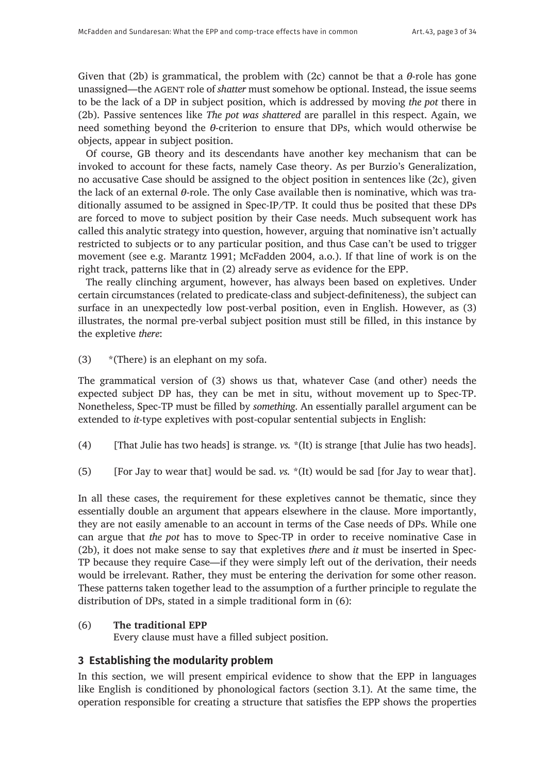Given that (2b) is grammatical, the problem with (2c) cannot be that a *θ*-role has gone unassigned—the agent role of *shatter* must somehow be optional. Instead, the issue seems to be the lack of a DP in subject position, which is addressed by moving *the pot* there in (2b). Passive sentences like *The pot was shattered* are parallel in this respect. Again, we need something beyond the *θ*-criterion to ensure that DPs, which would otherwise be objects, appear in subject position.

Of course, GB theory and its descendants have another key mechanism that can be invoked to account for these facts, namely Case theory. As per Burzio's Generalization, no accusative Case should be assigned to the object position in sentences like (2c), given the lack of an external *θ*-role. The only Case available then is nominative, which was traditionally assumed to be assigned in Spec-IP/TP. It could thus be posited that these DPs are forced to move to subject position by their Case needs. Much subsequent work has called this analytic strategy into question, however, arguing that nominative isn't actually restricted to subjects or to any particular position, and thus Case can't be used to trigger movement (see e.g. Marantz 1991; McFadden 2004, a.o.). If that line of work is on the right track, patterns like that in (2) already serve as evidence for the EPP.

The really clinching argument, however, has always been based on expletives. Under certain circumstances (related to predicate-class and subject-definiteness), the subject can surface in an unexpectedly low post-verbal position, even in English. However, as (3) illustrates, the normal pre-verbal subject position must still be filled, in this instance by the expletive *there*:

(3) \*(There) is an elephant on my sofa.

The grammatical version of (3) shows us that, whatever Case (and other) needs the expected subject DP has, they can be met in situ, without movement up to Spec-TP. Nonetheless, Spec-TP must be filled by *something*. An essentially parallel argument can be extended to *it*-type expletives with post-copular sentential subjects in English:

- (4) [That Julie has two heads] is strange. *vs.* \*(It) is strange [that Julie has two heads].
- (5) [For Jay to wear that] would be sad. *vs.* \*(It) would be sad [for Jay to wear that].

In all these cases, the requirement for these expletives cannot be thematic, since they essentially double an argument that appears elsewhere in the clause. More importantly, they are not easily amenable to an account in terms of the Case needs of DPs. While one can argue that *the pot* has to move to Spec-TP in order to receive nominative Case in (2b), it does not make sense to say that expletives *there* and *it* must be inserted in Spec-TP because they require Case—if they were simply left out of the derivation, their needs would be irrelevant. Rather, they must be entering the derivation for some other reason. These patterns taken together lead to the assumption of a further principle to regulate the distribution of DPs, stated in a simple traditional form in (6):

#### (6) **The traditional EPP**

Every clause must have a filled subject position.

# **3 Establishing the modularity problem**

In this section, we will present empirical evidence to show that the EPP in languages like English is conditioned by phonological factors (section 3.1). At the same time, the operation responsible for creating a structure that satisfies the EPP shows the properties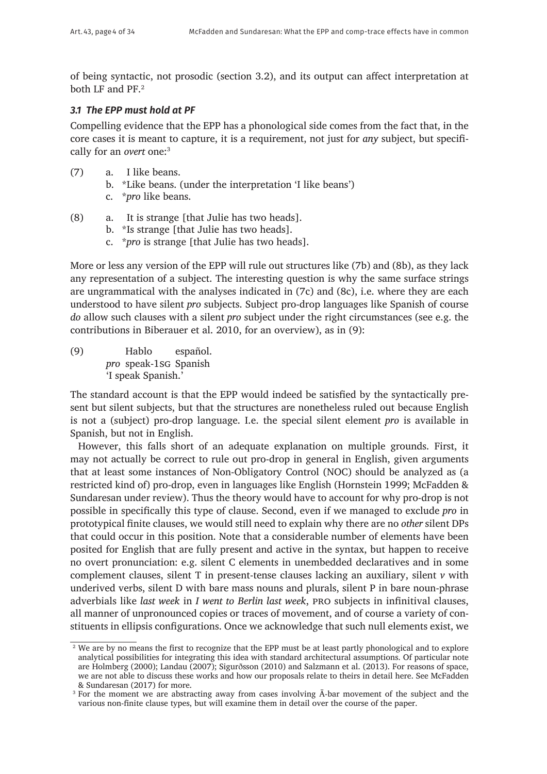of being syntactic, not prosodic (section 3.2), and its output can affect interpretation at both LF and PF.<sup>2</sup>

# *3.1 The EPP must hold at PF*

Compelling evidence that the EPP has a phonological side comes from the fact that, in the core cases it is meant to capture, it is a requirement, not just for *any* subject, but specifically for an *overt* one:3

- (7) a. I like beans.
	- b. \*Like beans. (under the interpretation 'I like beans')
	- c. \**pro* like beans.
- (8) a. It is strange [that Julie has two heads].
	- b. \*Is strange [that Julie has two heads].
	- c. \**pro* is strange [that Julie has two heads].

More or less any version of the EPP will rule out structures like (7b) and (8b), as they lack any representation of a subject. The interesting question is why the same surface strings are ungrammatical with the analyses indicated in (7c) and (8c), i.e. where they are each understood to have silent *pro* subjects. Subject pro-drop languages like Spanish of course *do* allow such clauses with a silent *pro* subject under the right circumstances (see e.g. the contributions in Biberauer et al. 2010, for an overview), as in (9):

(9) Hablo español. *pro* speak-1sg Spanish 'I speak Spanish.'

The standard account is that the EPP would indeed be satisfied by the syntactically present but silent subjects, but that the structures are nonetheless ruled out because English is not a (subject) pro-drop language. I.e. the special silent element *pro* is available in Spanish, but not in English.

However, this falls short of an adequate explanation on multiple grounds. First, it may not actually be correct to rule out pro-drop in general in English, given arguments that at least some instances of Non-Obligatory Control (NOC) should be analyzed as (a restricted kind of) pro-drop, even in languages like English (Hornstein 1999; McFadden & Sundaresan under review). Thus the theory would have to account for why pro-drop is not possible in specifically this type of clause. Second, even if we managed to exclude *pro* in prototypical finite clauses, we would still need to explain why there are no *other* silent DPs that could occur in this position. Note that a considerable number of elements have been posited for English that are fully present and active in the syntax, but happen to receive no overt pronunciation: e.g. silent C elements in unembedded declaratives and in some complement clauses, silent T in present-tense clauses lacking an auxiliary, silent *v* with underived verbs, silent D with bare mass nouns and plurals, silent P in bare noun-phrase adverbials like *last week* in *I went to Berlin last week*, pro subjects in infinitival clauses, all manner of unpronounced copies or traces of movement, and of course a variety of constituents in ellipsis configurations. Once we acknowledge that such null elements exist, we

<sup>&</sup>lt;sup>2</sup> We are by no means the first to recognize that the EPP must be at least partly phonological and to explore analytical possibilities for integrating this idea with standard architectural assumptions. Of particular note are Holmberg (2000); Landau (2007); Sigurðsson (2010) and Salzmann et al. (2013). For reasons of space, we are not able to discuss these works and how our proposals relate to theirs in detail here. See McFadden & Sundaresan (2017) for more.

<sup>&</sup>lt;sup>3</sup> For the moment we are abstracting away from cases involving  $\bar{A}$ -bar movement of the subject and the various non-finite clause types, but will examine them in detail over the course of the paper.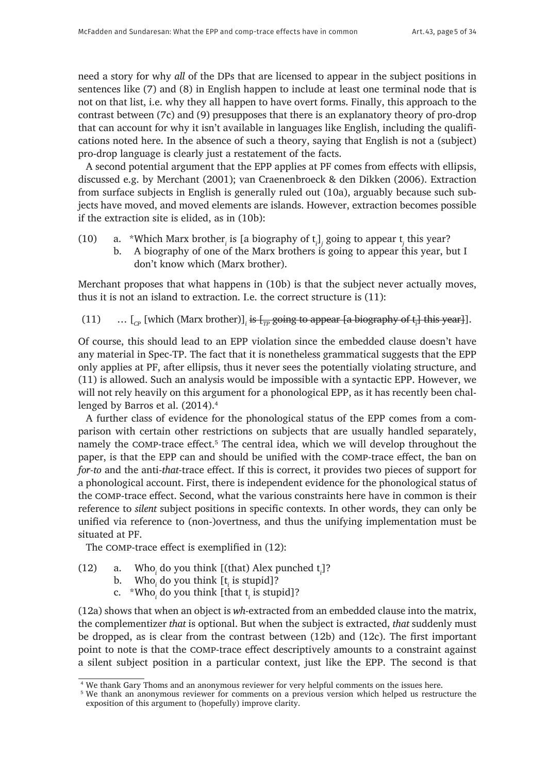need a story for why *all* of the DPs that are licensed to appear in the subject positions in sentences like (7) and (8) in English happen to include at least one terminal node that is not on that list, i.e. why they all happen to have overt forms. Finally, this approach to the contrast between (7c) and (9) presupposes that there is an explanatory theory of pro-drop that can account for why it isn't available in languages like English, including the qualifications noted here. In the absence of such a theory, saying that English is not a (subject) pro-drop language is clearly just a restatement of the facts.

A second potential argument that the EPP applies at PF comes from effects with ellipsis, discussed e.g. by Merchant (2001); van Craenenbroeck & den Dikken (2006). Extraction from surface subjects in English is generally ruled out (10a), arguably because such subjects have moved, and moved elements are islands. However, extraction becomes possible if the extraction site is elided, as in (10b):

(10) a. \*Which Marx brother<sub>*i*</sub> is [a biography of  $t_i$ ], going to appear  $t_j$  this year? b. A biography of one of the Marx brothers is going to appear this year, but I don't know which (Marx brother).

Merchant proposes that what happens in (10b) is that the subject never actually moves, thus it is not an island to extraction. I.e. the correct structure is (11):

(11)  $\quad \dots \; [\Gamma_{\!C\!P} \; [\text{which (Marx brother})]_i$  <del>is  $[\Gamma_{\!T\!P} \; \text{going to appear [a biography of t_i] this year}]_i$ </del>.

Of course, this should lead to an EPP violation since the embedded clause doesn't have any material in Spec-TP. The fact that it is nonetheless grammatical suggests that the EPP only applies at PF, after ellipsis, thus it never sees the potentially violating structure, and (11) is allowed. Such an analysis would be impossible with a syntactic EPP. However, we will not rely heavily on this argument for a phonological EPP, as it has recently been challenged by Barros et al. (2014).<sup>4</sup>

A further class of evidence for the phonological status of the EPP comes from a comparison with certain other restrictions on subjects that are usually handled separately, namely the COMP-trace effect.<sup>5</sup> The central idea, which we will develop throughout the paper, is that the EPP can and should be unified with the comp-trace effect, the ban on *for-to* and the anti-*that*-trace effect. If this is correct, it provides two pieces of support for a phonological account. First, there is independent evidence for the phonological status of the comp-trace effect. Second, what the various constraints here have in common is their reference to *silent* subject positions in specific contexts. In other words, they can only be unified via reference to (non-)overtness, and thus the unifying implementation must be situated at PF.

The comp-trace effect is exemplified in (12):

- (12) a. Who*<sup>i</sup>* do you think [(that) Alex punched t*<sup>i</sup>* ]?
	- b. Who<sub>*i*</sub> do you think [t<sub>*i*</sub> is stupid]?
	- c. \*Who<sub>*i*</sub> do you think [that t<sub>*i*</sub> is stupid]?

(12a) shows that when an object is *wh*-extracted from an embedded clause into the matrix, the complementizer *that* is optional. But when the subject is extracted, *that* suddenly must be dropped, as is clear from the contrast between (12b) and (12c). The first important point to note is that the comp-trace effect descriptively amounts to a constraint against a silent subject position in a particular context, just like the EPP. The second is that

<sup>4</sup> We thank Gary Thoms and an anonymous reviewer for very helpful comments on the issues here.

<sup>5</sup> We thank an anonymous reviewer for comments on a previous version which helped us restructure the exposition of this argument to (hopefully) improve clarity.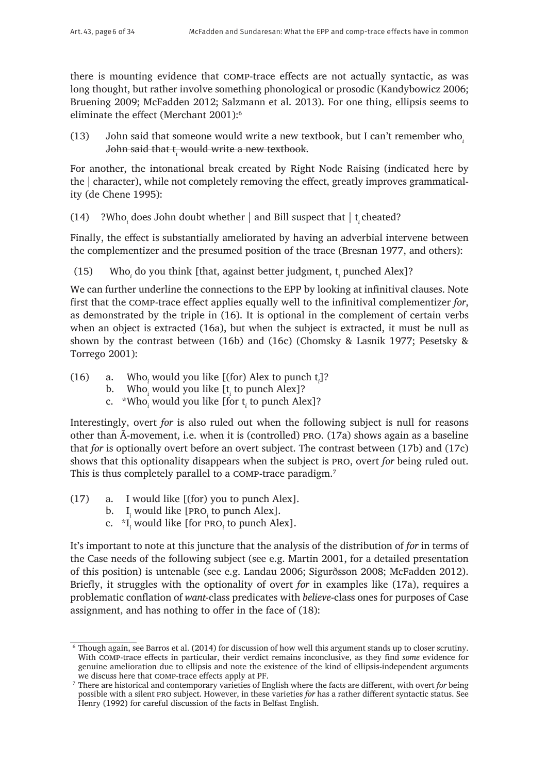there is mounting evidence that comp-trace effects are not actually syntactic, as was long thought, but rather involve something phonological or prosodic (Kandybowicz 2006; Bruening 2009; McFadden 2012; Salzmann et al. 2013). For one thing, ellipsis seems to eliminate the effect (Merchant 2001):6

(13) John said that someone would write a new textbook, but I can't remember who*<sup>i</sup>* J<del>ohn said that t<sub>i</sub> would write a new textbook</del>.

For another, the intonational break created by Right Node Raising (indicated here by the | character), while not completely removing the effect, greatly improves grammaticality (de Chene 1995):

# (14)  $\cdot$ ?Who<sub>*i*</sub> does John doubt whether | and Bill suspect that | t<sub>*i*</sub> cheated?

Finally, the effect is substantially ameliorated by having an adverbial intervene between the complementizer and the presumed position of the trace (Bresnan 1977, and others):

(15) Who*<sup>i</sup>* do you think [that, against better judgment, t*<sup>i</sup>* punched Alex]?

We can further underline the connections to the EPP by looking at infinitival clauses. Note first that the comp-trace effect applies equally well to the infinitival complementizer *for*, as demonstrated by the triple in (16). It is optional in the complement of certain verbs when an object is extracted (16a), but when the subject is extracted, it must be null as shown by the contrast between (16b) and (16c) (Chomsky & Lasnik 1977; Pesetsky & Torrego 2001):

- (16) a. Who<sub>*i*</sub> would you like [(for) Alex to punch  $t_i$ ]?
	- b. Who<sub>*i*</sub> would you like [t<sub>*i*</sub> to punch Alex]?
	- c. \*Who<sub>*i*</sub> would you like [for t<sub>*i*</sub> to punch Alex]?

Interestingly, overt *for* is also ruled out when the following subject is null for reasons other than Ā-movement, i.e. when it is (controlled) pro. (17a) shows again as a baseline that *for* is optionally overt before an overt subject. The contrast between (17b) and (17c) shows that this optionality disappears when the subject is pro, overt *for* being ruled out. This is thus completely parallel to a COMP-trace paradigm.<sup>7</sup>

- (17) a. I would like [(for) you to punch Alex].
	- b.  $I_i$  would like [PRO<sub>*i*</sub> to punch Alex].
	- c. \*I *i* would like [for pro*<sup>i</sup>* to punch Alex].

It's important to note at this juncture that the analysis of the distribution of *for* in terms of the Case needs of the following subject (see e.g. Martin 2001, for a detailed presentation of this position) is untenable (see e.g. Landau 2006; Sigurðsson 2008; McFadden 2012). Briefly, it struggles with the optionality of overt *for* in examples like (17a), requires a problematic conflation of *want*-class predicates with *believe*-class ones for purposes of Case assignment, and has nothing to offer in the face of (18):

<sup>6</sup> Though again, see Barros et al. (2014) for discussion of how well this argument stands up to closer scrutiny. With comp-trace effects in particular, their verdict remains inconclusive, as they find *some* evidence for genuine amelioration due to ellipsis and note the existence of the kind of ellipsis-independent arguments we discuss here that comp-trace effects apply at PF.

<sup>7</sup> There are historical and contemporary varieties of English where the facts are different, with overt *for* being possible with a silent pro subject. However, in these varieties *for* has a rather different syntactic status. See Henry (1992) for careful discussion of the facts in Belfast English.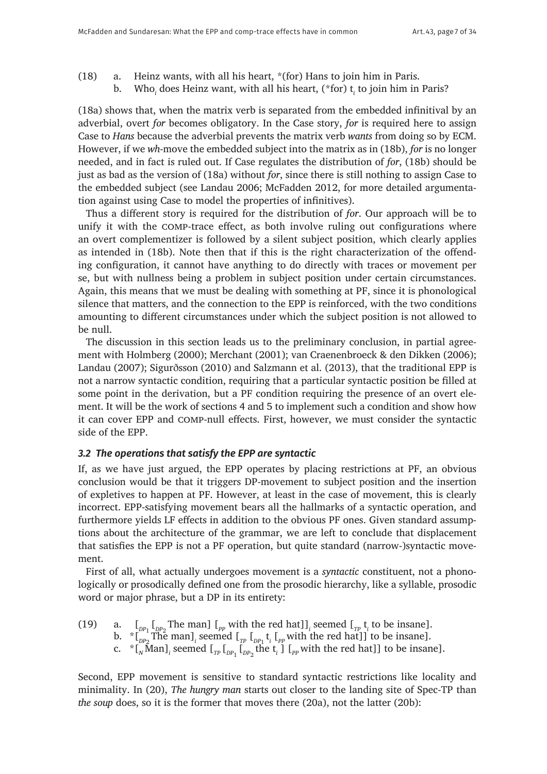- (18) a. Heinz wants, with all his heart, \*(for) Hans to join him in Paris.
	- b. Who<sub>i</sub> does Heinz want, with all his heart, (\*for) t<sub>i</sub> to join him in Paris?

(18a) shows that, when the matrix verb is separated from the embedded infinitival by an adverbial, overt *for* becomes obligatory. In the Case story, *for* is required here to assign Case to *Hans* because the adverbial prevents the matrix verb *wants* from doing so by ECM. However, if we *wh*-move the embedded subject into the matrix as in (18b), *for* is no longer needed, and in fact is ruled out. If Case regulates the distribution of *for*, (18b) should be just as bad as the version of (18a) without *for*, since there is still nothing to assign Case to the embedded subject (see Landau 2006; McFadden 2012, for more detailed argumentation against using Case to model the properties of infinitives).

Thus a different story is required for the distribution of *for*. Our approach will be to unify it with the comp-trace effect, as both involve ruling out configurations where an overt complementizer is followed by a silent subject position, which clearly applies as intended in (18b). Note then that if this is the right characterization of the offending configuration, it cannot have anything to do directly with traces or movement per se, but with nullness being a problem in subject position under certain circumstances. Again, this means that we must be dealing with something at PF, since it is phonological silence that matters, and the connection to the EPP is reinforced, with the two conditions amounting to different circumstances under which the subject position is not allowed to be null.

The discussion in this section leads us to the preliminary conclusion, in partial agreement with Holmberg (2000); Merchant (2001); van Craenenbroeck & den Dikken (2006); Landau (2007); Sigurðsson (2010) and Salzmann et al. (2013), that the traditional EPP is not a narrow syntactic condition, requiring that a particular syntactic position be filled at some point in the derivation, but a PF condition requiring the presence of an overt element. It will be the work of sections 4 and 5 to implement such a condition and show how it can cover EPP and comp-null effects. First, however, we must consider the syntactic side of the EPP.

# *3.2 The operations that satisfy the EPP are syntactic*

If, as we have just argued, the EPP operates by placing restrictions at PF, an obvious conclusion would be that it triggers DP-movement to subject position and the insertion of expletives to happen at PF. However, at least in the case of movement, this is clearly incorrect. EPP-satisfying movement bears all the hallmarks of a syntactic operation, and furthermore yields LF effects in addition to the obvious PF ones. Given standard assumptions about the architecture of the grammar, we are left to conclude that displacement that satisfies the EPP is not a PF operation, but quite standard (narrow-)syntactic movement.

First of all, what actually undergoes movement is a *syntactic* constituent, not a phonologically or prosodically defined one from the prosodic hierarchy, like a syllable, prosodic word or major phrase, but a DP in its entirety:

(19) a. 
$$
\begin{bmatrix} 1 & 0 \\ 0 & 1 \end{bmatrix}
$$
 a.  $\begin{bmatrix} 1 & 0 \\ 0 & 1 \end{bmatrix}$  a.  $\begin{bmatrix} 1 & 0 \\ 0 & 1 \end{bmatrix}$  a.  $\begin{bmatrix} 1 & 0 \\ 0 & 1 \end{bmatrix}$  a.  $\begin{bmatrix} 1 & 0 \\ 0 & 1 \end{bmatrix}$  a.  $\begin{bmatrix} 1 & 0 \\ 0 & 1 \end{bmatrix}$  a.  $\begin{bmatrix} 1 & 0 \\ 0 & 1 \end{bmatrix}$  a.  $\begin{bmatrix} 1 & 0 \\ 0 & 1 \end{bmatrix}$  a.  $\begin{bmatrix} 1 & 0 \\ 0 & 1 \end{bmatrix}$  a.  $\begin{bmatrix} 1 & 0 \\ 0 & 1 \end{bmatrix}$  a.  $\begin{bmatrix} 1 & 0 \\ 0 & 1 \end{bmatrix}$  a.  $\begin{bmatrix} 1 & 0 \\ 0 & 1 \end{bmatrix}$  a.  $\begin{bmatrix} 1 & 0 \\ 0 & 1 \end{bmatrix}$  a.  $\begin{bmatrix} 1 & 0 \\ 0 & 1 \end{bmatrix}$  a.  $\begin{bmatrix} 1 & 0 \\ 0 & 1 \end{bmatrix}$  a.  $\begin{bmatrix} 1 & 0 \\ 0 & 1 \end{bmatrix}$  a.  $\begin{bmatrix} 1 & 0 \\ 0 & 1 \end{bmatrix}$  a.  $\begin{bmatrix} 1 & 0 \\ 0 & 1 \end{bmatrix}$  a.  $\begin{bmatrix} 1 & 0 \\ 0 & 1 \end{bmatrix}$  a.  $\begin{bmatrix} 1 & 0 \\ 0 & 1 \end{bmatrix}$  a.  $\begin{bmatrix} 1 & 0 \\ 0 & 1 \end{bmatrix}$  a.  $$ 

Second, EPP movement is sensitive to standard syntactic restrictions like locality and minimality. In (20), *The hungry man* starts out closer to the landing site of Spec-TP than *the soup* does, so it is the former that moves there (20a), not the latter (20b):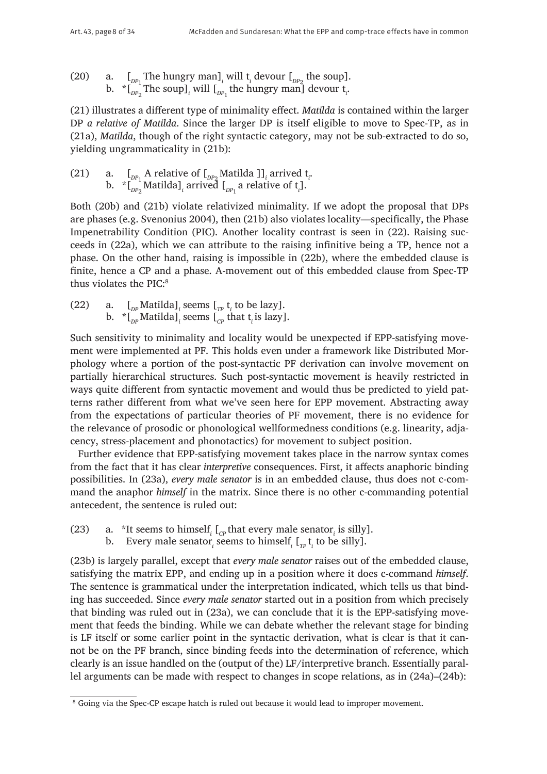(20) a.  $\left[\begin{array}{cc} p_{P_1} \text{The hungry man}\end{array}\right]$ *i* will t<sub>i</sub> devour  $\left[\begin{array}{cc} p_{P_2} \text{the soup}\end{array}\right]$ . b.  $\int_{D_P}$  The soup]<sub>*i*</sub> will [<sub>*DP*1</sub> the hungry man] devour t<sub>*i*</sub>.

(21) illustrates a different type of minimality effect. *Matilda* is contained within the larger DP *a relative of Matilda*. Since the larger DP is itself eligible to move to Spec-TP, as in (21a), *Matilda*, though of the right syntactic category, may not be sub-extracted to do so, yielding ungrammaticality in (21b):

(21) a.  $\int_{DP_1}$  A relative of  $\int_{DP_2}$  Matilda  $\int_i$  arrived  $t_i$ . b.  $\int_{\text{D}P_2} \text{Matilda}]_i$  arrived  $\int_{\text{D}P_1}$  a relative of  $\mathfrak{t}_i$ ].

Both (20b) and (21b) violate relativized minimality. If we adopt the proposal that DPs are phases (e.g. Svenonius 2004), then (21b) also violates locality—specifically, the Phase Impenetrability Condition (PIC). Another locality contrast is seen in (22). Raising succeeds in (22a), which we can attribute to the raising infinitive being a TP, hence not a phase. On the other hand, raising is impossible in (22b), where the embedded clause is finite, hence a CP and a phase. A-movement out of this embedded clause from Spec-TP thus violates the PIC:8

(22) a.  $\left[\begin{array}{cc}D_P\text{Matilda}\end{array}\right]_i$  seems  $\left[\begin{array}{cc}T_P t_i\text{ to be lazy}\end{array}\right]$ . b.  $\left. \int_{D^p} \text{Matilda} \right]_i$  seems  $\left[ \int_{C^p} \text{that } t_i \text{ is lazy} \right]$ .

Such sensitivity to minimality and locality would be unexpected if EPP-satisfying movement were implemented at PF. This holds even under a framework like Distributed Morphology where a portion of the post-syntactic PF derivation can involve movement on partially hierarchical structures. Such post-syntactic movement is heavily restricted in ways quite different from syntactic movement and would thus be predicted to yield patterns rather different from what we've seen here for EPP movement. Abstracting away from the expectations of particular theories of PF movement, there is no evidence for the relevance of prosodic or phonological wellformedness conditions (e.g. linearity, adjacency, stress-placement and phonotactics) for movement to subject position.

Further evidence that EPP-satisfying movement takes place in the narrow syntax comes from the fact that it has clear *interpretive* consequences. First, it affects anaphoric binding possibilities. In (23a), *every male senator* is in an embedded clause, thus does not c-command the anaphor *himself* in the matrix. Since there is no other c-commanding potential antecedent, the sentence is ruled out:

- (23) a. \*It seems to himself<sub>*i*</sub>  $\left[ c_p \text{ that every male senator}_i \text{ is silly} \right]$ .
	- b. Every male senator<sub>*i*</sub> seems to himself<sub>*i*</sub> [ $_{TP}$ t<sub>*i*</sub> to be silly].

(23b) is largely parallel, except that *every male senator* raises out of the embedded clause, satisfying the matrix EPP, and ending up in a position where it does c-command *himself*. The sentence is grammatical under the interpretation indicated, which tells us that binding has succeeded. Since *every male senator* started out in a position from which precisely that binding was ruled out in (23a), we can conclude that it is the EPP-satisfying movement that feeds the binding. While we can debate whether the relevant stage for binding is LF itself or some earlier point in the syntactic derivation, what is clear is that it cannot be on the PF branch, since binding feeds into the determination of reference, which clearly is an issue handled on the (output of the) LF/interpretive branch. Essentially parallel arguments can be made with respect to changes in scope relations, as in (24a)–(24b):

<sup>8</sup> Going via the Spec-CP escape hatch is ruled out because it would lead to improper movement.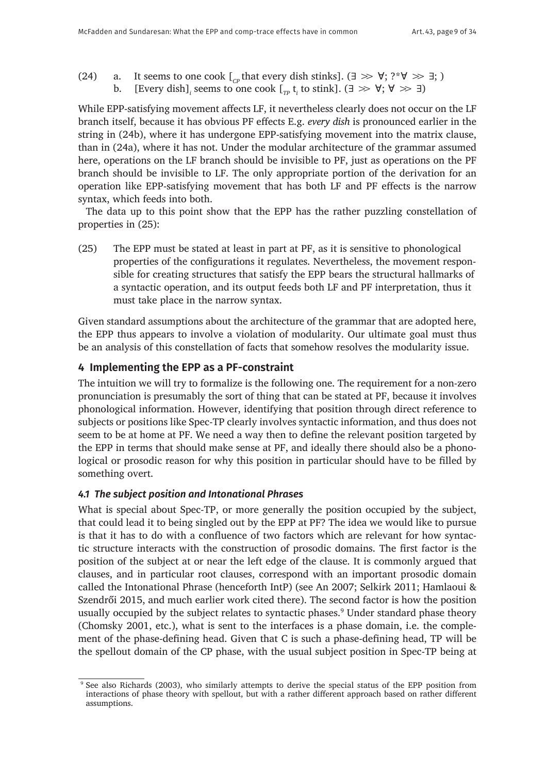- (24) a. It seems to one cook  $\lceil_{C_P}$  that every dish stinks]. (∃  $\gg \forall$ ; ?\*∀  $\gg \exists$ ; )<br>b. [Every dish] seems to one cook [ t to stink]. (∃  $\gg \forall$ : ∀  $\gg \exists$ )
	- b.  $\left[$  [Every dish]<sub>*i*</sub> seems to one cook  $\left[ \begin{smallmatrix} &p\p\end{smallmatrix} \right. t_{i}$  to stink].  $\left( \exists \gg \forall;\forall \gg \exists \right)$

While EPP-satisfying movement affects LF, it nevertheless clearly does not occur on the LF branch itself, because it has obvious PF effects E.g. *every dish* is pronounced earlier in the string in (24b), where it has undergone EPP-satisfying movement into the matrix clause, than in (24a), where it has not. Under the modular architecture of the grammar assumed here, operations on the LF branch should be invisible to PF, just as operations on the PF branch should be invisible to LF. The only appropriate portion of the derivation for an operation like EPP-satisfying movement that has both LF and PF effects is the narrow syntax, which feeds into both.

The data up to this point show that the EPP has the rather puzzling constellation of properties in (25):

(25) The EPP must be stated at least in part at PF, as it is sensitive to phonological properties of the configurations it regulates. Nevertheless, the movement responsible for creating structures that satisfy the EPP bears the structural hallmarks of a syntactic operation, and its output feeds both LF and PF interpretation, thus it must take place in the narrow syntax.

Given standard assumptions about the architecture of the grammar that are adopted here, the EPP thus appears to involve a violation of modularity. Our ultimate goal must thus be an analysis of this constellation of facts that somehow resolves the modularity issue.

# **4 Implementing the EPP as a PF-constraint**

The intuition we will try to formalize is the following one. The requirement for a non-zero pronunciation is presumably the sort of thing that can be stated at PF, because it involves phonological information. However, identifying that position through direct reference to subjects or positions like Spec-TP clearly involves syntactic information, and thus does not seem to be at home at PF. We need a way then to define the relevant position targeted by the EPP in terms that should make sense at PF, and ideally there should also be a phonological or prosodic reason for why this position in particular should have to be filled by something overt.

# *4.1 The subject position and Intonational Phrases*

What is special about Spec-TP, or more generally the position occupied by the subject, that could lead it to being singled out by the EPP at PF? The idea we would like to pursue is that it has to do with a confluence of two factors which are relevant for how syntactic structure interacts with the construction of prosodic domains. The first factor is the position of the subject at or near the left edge of the clause. It is commonly argued that clauses, and in particular root clauses, correspond with an important prosodic domain called the Intonational Phrase (henceforth IntP) (see An 2007; Selkirk 2011; Hamlaoui & Szendrői 2015, and much earlier work cited there). The second factor is how the position usually occupied by the subject relates to syntactic phases.9 Under standard phase theory (Chomsky 2001, etc.), what is sent to the interfaces is a phase domain, i.e. the complement of the phase-defining head. Given that C is such a phase-defining head, TP will be the spellout domain of the CP phase, with the usual subject position in Spec-TP being at

<sup>9</sup> See also Richards (2003), who similarly attempts to derive the special status of the EPP position from interactions of phase theory with spellout, but with a rather different approach based on rather different assumptions.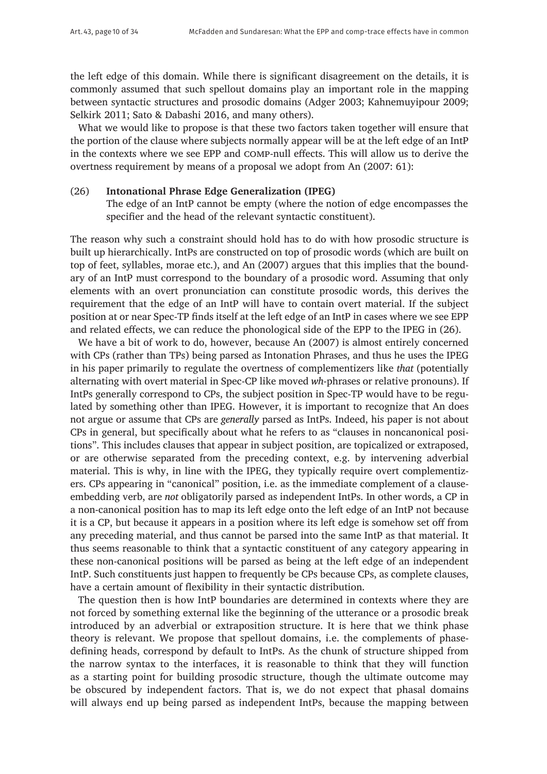the left edge of this domain. While there is significant disagreement on the details, it is commonly assumed that such spellout domains play an important role in the mapping between syntactic structures and prosodic domains (Adger 2003; Kahnemuyipour 2009; Selkirk 2011; Sato & Dabashi 2016, and many others).

What we would like to propose is that these two factors taken together will ensure that the portion of the clause where subjects normally appear will be at the left edge of an IntP in the contexts where we see EPP and comp-null effects. This will allow us to derive the overtness requirement by means of a proposal we adopt from An (2007: 61):

#### (26) **Intonational Phrase Edge Generalization (IPEG)**

The edge of an IntP cannot be empty (where the notion of edge encompasses the specifier and the head of the relevant syntactic constituent).

The reason why such a constraint should hold has to do with how prosodic structure is built up hierarchically. IntPs are constructed on top of prosodic words (which are built on top of feet, syllables, morae etc.), and An (2007) argues that this implies that the boundary of an IntP must correspond to the boundary of a prosodic word. Assuming that only elements with an overt pronunciation can constitute prosodic words, this derives the requirement that the edge of an IntP will have to contain overt material. If the subject position at or near Spec-TP finds itself at the left edge of an IntP in cases where we see EPP and related effects, we can reduce the phonological side of the EPP to the IPEG in (26).

We have a bit of work to do, however, because An (2007) is almost entirely concerned with CPs (rather than TPs) being parsed as Intonation Phrases, and thus he uses the IPEG in his paper primarily to regulate the overtness of complementizers like *that* (potentially alternating with overt material in Spec-CP like moved *wh*-phrases or relative pronouns). If IntPs generally correspond to CPs, the subject position in Spec-TP would have to be regulated by something other than IPEG. However, it is important to recognize that An does not argue or assume that CPs are *generally* parsed as IntPs. Indeed, his paper is not about CPs in general, but specifically about what he refers to as "clauses in noncanonical positions". This includes clauses that appear in subject position, are topicalized or extraposed, or are otherwise separated from the preceding context, e.g. by intervening adverbial material. This is why, in line with the IPEG, they typically require overt complementizers. CPs appearing in "canonical" position, i.e. as the immediate complement of a clauseembedding verb, are *not* obligatorily parsed as independent IntPs. In other words, a CP in a non-canonical position has to map its left edge onto the left edge of an IntP not because it is a CP, but because it appears in a position where its left edge is somehow set off from any preceding material, and thus cannot be parsed into the same IntP as that material. It thus seems reasonable to think that a syntactic constituent of any category appearing in these non-canonical positions will be parsed as being at the left edge of an independent IntP. Such constituents just happen to frequently be CPs because CPs, as complete clauses, have a certain amount of flexibility in their syntactic distribution.

The question then is how IntP boundaries are determined in contexts where they are not forced by something external like the beginning of the utterance or a prosodic break introduced by an adverbial or extraposition structure. It is here that we think phase theory is relevant. We propose that spellout domains, i.e. the complements of phasedefining heads, correspond by default to IntPs. As the chunk of structure shipped from the narrow syntax to the interfaces, it is reasonable to think that they will function as a starting point for building prosodic structure, though the ultimate outcome may be obscured by independent factors. That is, we do not expect that phasal domains will always end up being parsed as independent IntPs, because the mapping between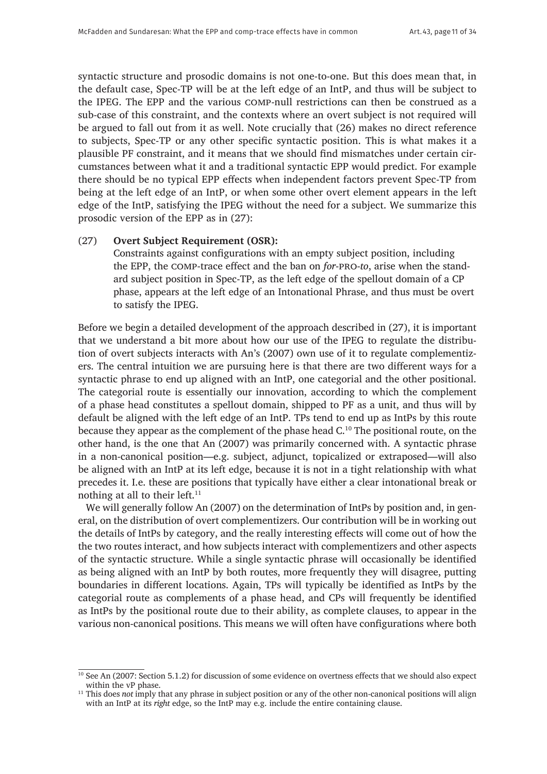syntactic structure and prosodic domains is not one-to-one. But this does mean that, in the default case, Spec-TP will be at the left edge of an IntP, and thus will be subject to the IPEG. The EPP and the various comp-null restrictions can then be construed as a sub-case of this constraint, and the contexts where an overt subject is not required will be argued to fall out from it as well. Note crucially that (26) makes no direct reference to subjects, Spec-TP or any other specific syntactic position. This is what makes it a plausible PF constraint, and it means that we should find mismatches under certain circumstances between what it and a traditional syntactic EPP would predict. For example there should be no typical EPP effects when independent factors prevent Spec-TP from being at the left edge of an IntP, or when some other overt element appears in the left edge of the IntP, satisfying the IPEG without the need for a subject. We summarize this prosodic version of the EPP as in (27):

#### (27) **Overt Subject Requirement (OSR):**

Constraints against configurations with an empty subject position, including the EPP, the comp-trace effect and the ban on *for*-pro-*to*, arise when the standard subject position in Spec-TP, as the left edge of the spellout domain of a CP phase, appears at the left edge of an Intonational Phrase, and thus must be overt to satisfy the IPEG.

Before we begin a detailed development of the approach described in (27), it is important that we understand a bit more about how our use of the IPEG to regulate the distribution of overt subjects interacts with An's (2007) own use of it to regulate complementizers. The central intuition we are pursuing here is that there are two different ways for a syntactic phrase to end up aligned with an IntP, one categorial and the other positional. The categorial route is essentially our innovation, according to which the complement of a phase head constitutes a spellout domain, shipped to PF as a unit, and thus will by default be aligned with the left edge of an IntP. TPs tend to end up as IntPs by this route because they appear as the complement of the phase head C.<sup>10</sup> The positional route, on the other hand, is the one that An (2007) was primarily concerned with. A syntactic phrase in a non-canonical position—e.g. subject, adjunct, topicalized or extraposed—will also be aligned with an IntP at its left edge, because it is not in a tight relationship with what precedes it. I.e. these are positions that typically have either a clear intonational break or nothing at all to their left. $11$ 

We will generally follow An (2007) on the determination of IntPs by position and, in general, on the distribution of overt complementizers. Our contribution will be in working out the details of IntPs by category, and the really interesting effects will come out of how the the two routes interact, and how subjects interact with complementizers and other aspects of the syntactic structure. While a single syntactic phrase will occasionally be identified as being aligned with an IntP by both routes, more frequently they will disagree, putting boundaries in different locations. Again, TPs will typically be identified as IntPs by the categorial route as complements of a phase head, and CPs will frequently be identified as IntPs by the positional route due to their ability, as complete clauses, to appear in the various non-canonical positions. This means we will often have configurations where both

<sup>&</sup>lt;sup>10</sup> See An (2007: Section 5.1.2) for discussion of some evidence on overtness effects that we should also expect within the vP phase.

<sup>&</sup>lt;sup>11</sup> This does *not* imply that any phrase in subject position or any of the other non-canonical positions will align with an IntP at its *right* edge, so the IntP may e.g. include the entire containing clause.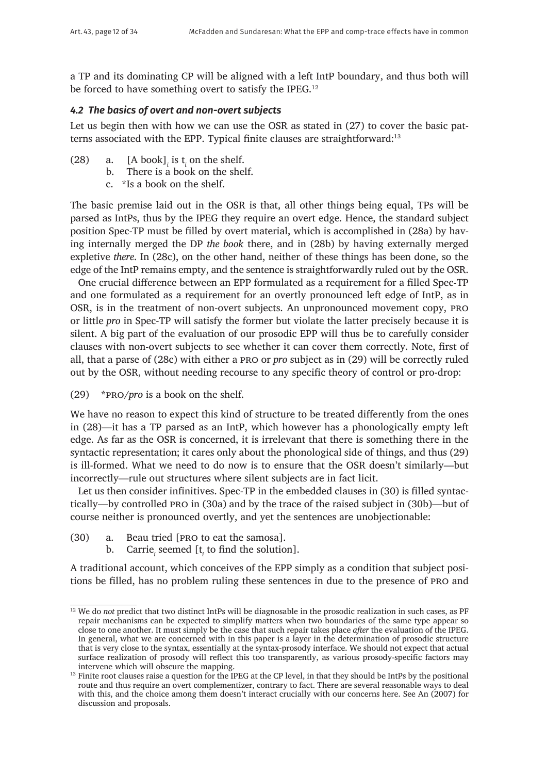a TP and its dominating CP will be aligned with a left IntP boundary, and thus both will be forced to have something overt to satisfy the IPEG.<sup>12</sup>

#### *4.2 The basics of overt and non-overt subjects*

Let us begin then with how we can use the OSR as stated in (27) to cover the basic patterns associated with the EPP. Typical finite clauses are straightforward:13

- (28) a.  $[A \text{ book}]$  *i* is  $t_i$  on the shelf.
	- b. There is a book on the shelf.
		- c. \*Is a book on the shelf.

The basic premise laid out in the OSR is that, all other things being equal, TPs will be parsed as IntPs, thus by the IPEG they require an overt edge. Hence, the standard subject position Spec-TP must be filled by overt material, which is accomplished in (28a) by having internally merged the DP *the book* there, and in (28b) by having externally merged expletive *there*. In (28c), on the other hand, neither of these things has been done, so the edge of the IntP remains empty, and the sentence is straightforwardly ruled out by the OSR.

One crucial difference between an EPP formulated as a requirement for a filled Spec-TP and one formulated as a requirement for an overtly pronounced left edge of IntP, as in OSR, is in the treatment of non-overt subjects. An unpronounced movement copy, pro or little *pro* in Spec-TP will satisfy the former but violate the latter precisely because it is silent. A big part of the evaluation of our prosodic EPP will thus be to carefully consider clauses with non-overt subjects to see whether it can cover them correctly. Note, first of all, that a parse of (28c) with either a pro or *pro* subject as in (29) will be correctly ruled out by the OSR, without needing recourse to any specific theory of control or pro-drop:

(29) \*pro/*pro* is a book on the shelf.

We have no reason to expect this kind of structure to be treated differently from the ones in (28)—it has a TP parsed as an IntP, which however has a phonologically empty left edge. As far as the OSR is concerned, it is irrelevant that there is something there in the syntactic representation; it cares only about the phonological side of things, and thus (29) is ill-formed. What we need to do now is to ensure that the OSR doesn't similarly—but incorrectly—rule out structures where silent subjects are in fact licit.

Let us then consider infinitives. Spec-TP in the embedded clauses in (30) is filled syntactically—by controlled pro in (30a) and by the trace of the raised subject in (30b)—but of course neither is pronounced overtly, and yet the sentences are unobjectionable:

- (30) a. Beau tried [pro to eat the samosa].
	- b. Carrie<sub>*i*</sub> seemed [t<sub>*i*</sub> to find the solution].

A traditional account, which conceives of the EPP simply as a condition that subject positions be filled, has no problem ruling these sentences in due to the presence of pro and

<sup>&</sup>lt;sup>12</sup> We do *not* predict that two distinct IntPs will be diagnosable in the prosodic realization in such cases, as PF repair mechanisms can be expected to simplify matters when two boundaries of the same type appear so close to one another. It must simply be the case that such repair takes place *after* the evaluation of the IPEG. In general, what we are concerned with in this paper is a layer in the determination of prosodic structure that is very close to the syntax, essentially at the syntax-prosody interface. We should not expect that actual surface realization of prosody will reflect this too transparently, as various prosody-specific factors may intervene which will obscure the mapping.

<sup>&</sup>lt;sup>13</sup> Finite root clauses raise a question for the IPEG at the CP level, in that they should be IntPs by the positional route and thus require an overt complementizer, contrary to fact. There are several reasonable ways to deal with this, and the choice among them doesn't interact crucially with our concerns here. See An (2007) for discussion and proposals.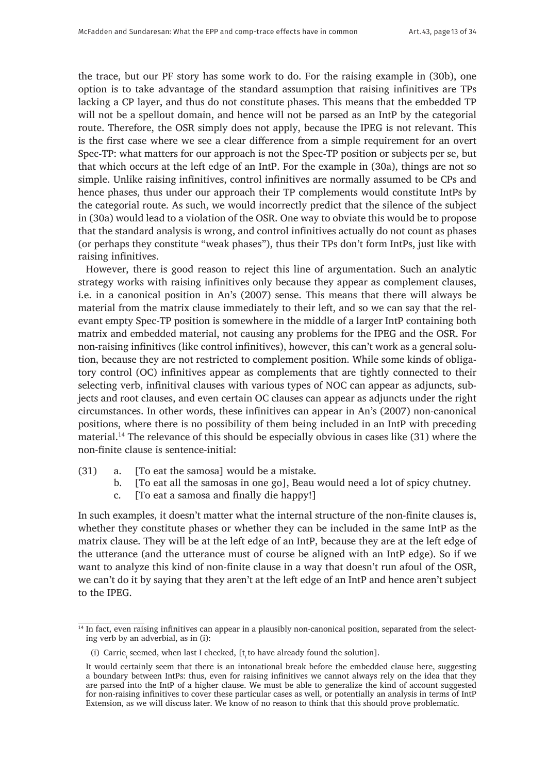the trace, but our PF story has some work to do. For the raising example in (30b), one option is to take advantage of the standard assumption that raising infinitives are TPs lacking a CP layer, and thus do not constitute phases. This means that the embedded TP will not be a spellout domain, and hence will not be parsed as an IntP by the categorial route. Therefore, the OSR simply does not apply, because the IPEG is not relevant. This is the first case where we see a clear difference from a simple requirement for an overt Spec-TP: what matters for our approach is not the Spec-TP position or subjects per se, but that which occurs at the left edge of an IntP. For the example in (30a), things are not so simple. Unlike raising infinitives, control infinitives are normally assumed to be CPs and hence phases, thus under our approach their TP complements would constitute IntPs by the categorial route. As such, we would incorrectly predict that the silence of the subject in (30a) would lead to a violation of the OSR. One way to obviate this would be to propose that the standard analysis is wrong, and control infinitives actually do not count as phases (or perhaps they constitute "weak phases"), thus their TPs don't form IntPs, just like with raising infinitives.

However, there is good reason to reject this line of argumentation. Such an analytic strategy works with raising infinitives only because they appear as complement clauses, i.e. in a canonical position in An's (2007) sense. This means that there will always be material from the matrix clause immediately to their left, and so we can say that the relevant empty Spec-TP position is somewhere in the middle of a larger IntP containing both matrix and embedded material, not causing any problems for the IPEG and the OSR. For non-raising infinitives (like control infinitives), however, this can't work as a general solution, because they are not restricted to complement position. While some kinds of obligatory control (OC) infinitives appear as complements that are tightly connected to their selecting verb, infinitival clauses with various types of NOC can appear as adjuncts, subjects and root clauses, and even certain OC clauses can appear as adjuncts under the right circumstances. In other words, these infinitives can appear in An's (2007) non-canonical positions, where there is no possibility of them being included in an IntP with preceding material.14 The relevance of this should be especially obvious in cases like (31) where the non-finite clause is sentence-initial:

- (31) a. [To eat the samosa] would be a mistake.
	- b. [To eat all the samosas in one go], Beau would need a lot of spicy chutney.
	- c. [To eat a samosa and finally die happy!]

In such examples, it doesn't matter what the internal structure of the non-finite clauses is, whether they constitute phases or whether they can be included in the same IntP as the matrix clause. They will be at the left edge of an IntP, because they are at the left edge of the utterance (and the utterance must of course be aligned with an IntP edge). So if we want to analyze this kind of non-finite clause in a way that doesn't run afoul of the OSR, we can't do it by saying that they aren't at the left edge of an IntP and hence aren't subject to the IPEG.

 $\frac{14 \text{ In fact, even raising infinities can appear in a plausibly non-canonical position, separated from the select-}$ ing verb by an adverbial, as in (i):

<sup>(</sup>i) Carrie<sub>*i*</sub> seemed, when last I checked,  $[t_i$  to have already found the solution].

It would certainly seem that there is an intonational break before the embedded clause here, suggesting a boundary between IntPs: thus, even for raising infinitives we cannot always rely on the idea that they are parsed into the IntP of a higher clause. We must be able to generalize the kind of account suggested for non-raising infinitives to cover these particular cases as well, or potentially an analysis in terms of IntP Extension, as we will discuss later. We know of no reason to think that this should prove problematic.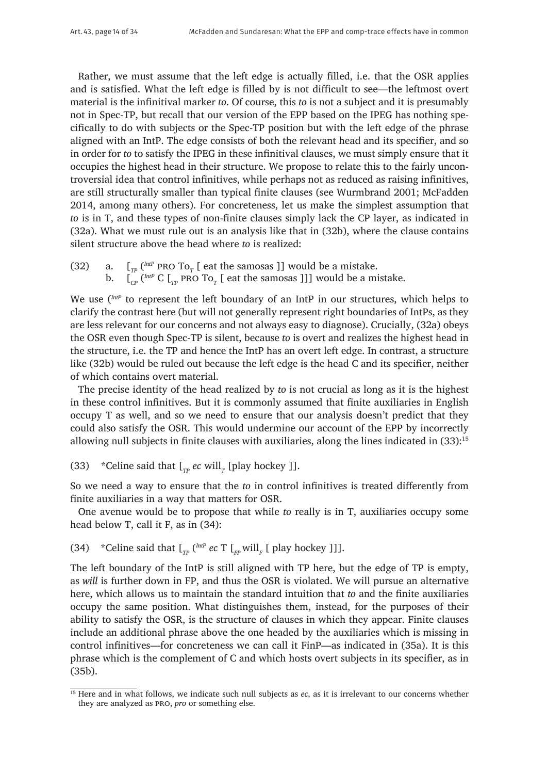Rather, we must assume that the left edge is actually filled, i.e. that the OSR applies and is satisfied. What the left edge is filled by is not difficult to see—the leftmost overt material is the infinitival marker *to*. Of course, this *to* is not a subject and it is presumably not in Spec-TP, but recall that our version of the EPP based on the IPEG has nothing specifically to do with subjects or the Spec-TP position but with the left edge of the phrase aligned with an IntP. The edge consists of both the relevant head and its specifier, and so in order for *to* to satisfy the IPEG in these infinitival clauses, we must simply ensure that it occupies the highest head in their structure. We propose to relate this to the fairly uncontroversial idea that control infinitives, while perhaps not as reduced as raising infinitives, are still structurally smaller than typical finite clauses (see Wurmbrand 2001; McFadden 2014, among many others). For concreteness, let us make the simplest assumption that *to* is in T, and these types of non-finite clauses simply lack the CP layer, as indicated in (32a). What we must rule out is an analysis like that in (32b), where the clause contains silent structure above the head where *to* is realized:

(32) a.  $\left[\begin{array}{cc}I_{TP} \end{array}\right]$ <sup>the </sup> PRO To<sub>*T*</sub> [ eat the samosas ]] would be a mistake. b.  $\left[\begin{smallmatrix}C_{CP} \end{smallmatrix}\right]^{(IntP)}$  C  $\left[\begin{smallmatrix}T_{TP} \end{smallmatrix}$  pro To<sub>*T*</sub>  $\left[\begin{smallmatrix} \text{eat} \end{smallmatrix} \text{the samosas} \end{smallmatrix}\right]\right]$ ] would be a mistake.

We use (*IntP* to represent the left boundary of an IntP in our structures, which helps to clarify the contrast here (but will not generally represent right boundaries of IntPs, as they are less relevant for our concerns and not always easy to diagnose). Crucially, (32a) obeys the OSR even though Spec-TP is silent, because *to* is overt and realizes the highest head in the structure, i.e. the TP and hence the IntP has an overt left edge. In contrast, a structure like (32b) would be ruled out because the left edge is the head C and its specifier, neither of which contains overt material.

The precise identity of the head realized by *to* is not crucial as long as it is the highest in these control infinitives. But it is commonly assumed that finite auxiliaries in English occupy T as well, and so we need to ensure that our analysis doesn't predict that they could also satisfy the OSR. This would undermine our account of the EPP by incorrectly allowing null subjects in finite clauses with auxiliaries, along the lines indicated in (33):15

(33) \*Celine said that  $\left[\begin{array}{cc}r_{\text{p}} & \text{ec will} \end{array}\right]$  [play hockey ]].

So we need a way to ensure that the *to* in control infinitives is treated differently from finite auxiliaries in a way that matters for OSR.

One avenue would be to propose that while *to* really is in T, auxiliaries occupy some head below T, call it F, as in (34):

(34) \*Celine said that  $\int_{TP}$  ( $^{IntP}$  *ec* T  $\int_{FP}$  will<sub>F</sub> [ play hockey ]]].

The left boundary of the IntP is still aligned with TP here, but the edge of TP is empty, as *will* is further down in FP, and thus the OSR is violated. We will pursue an alternative here, which allows us to maintain the standard intuition that *to* and the finite auxiliaries occupy the same position. What distinguishes them, instead, for the purposes of their ability to satisfy the OSR, is the structure of clauses in which they appear. Finite clauses include an additional phrase above the one headed by the auxiliaries which is missing in control infinitives—for concreteness we can call it FinP—as indicated in (35a). It is this phrase which is the complement of C and which hosts overt subjects in its specifier, as in (35b).

<sup>&</sup>lt;sup>15</sup> Here and in what follows, we indicate such null subjects as *ec*, as it is irrelevant to our concerns whether they are analyzed as pro, *pro* or something else.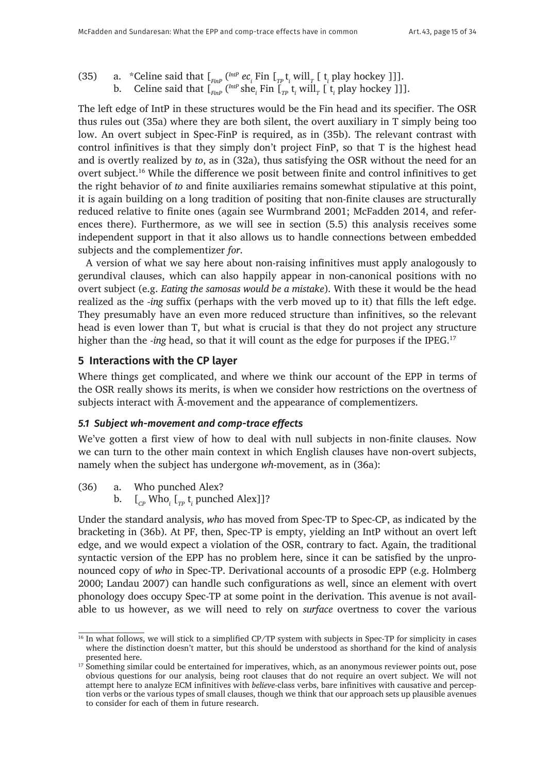- (35) a. \*Celine said that  $\int_{F_{\text{FIP}}} \int_{F_{\text{FIP}}}^{\text{IntP}} e c_i \text{ Fin } \int_{TP} \mathsf{t}_i \text{ will}_{T}$  [ $\mathsf{t}_i$  play hockey ]]].
	- b. Celine said that  $\int_{FinP}$  ( $^{IntP}$  she<sub>*i*</sub> Fin  $\int_{TP}$  t<sub>*i*</sub> will<sub>*T*</sub> [ t<sub>*i*</sub> play hockey ]]].

The left edge of IntP in these structures would be the Fin head and its specifier. The OSR thus rules out (35a) where they are both silent, the overt auxiliary in T simply being too low. An overt subject in Spec-FinP is required, as in (35b). The relevant contrast with control infinitives is that they simply don't project FinP, so that T is the highest head and is overtly realized by *to*, as in (32a), thus satisfying the OSR without the need for an overt subject.16 While the difference we posit between finite and control infinitives to get the right behavior of *to* and finite auxiliaries remains somewhat stipulative at this point, it is again building on a long tradition of positing that non-finite clauses are structurally reduced relative to finite ones (again see Wurmbrand 2001; McFadden 2014, and references there). Furthermore, as we will see in section (5.5) this analysis receives some independent support in that it also allows us to handle connections between embedded subjects and the complementizer *for*.

A version of what we say here about non-raising infinitives must apply analogously to gerundival clauses, which can also happily appear in non-canonical positions with no overt subject (e.g. *Eating the samosas would be a mistake*). With these it would be the head realized as the *-ing* suffix (perhaps with the verb moved up to it) that fills the left edge. They presumably have an even more reduced structure than infinitives, so the relevant head is even lower than T, but what is crucial is that they do not project any structure higher than the *-ing* head, so that it will count as the edge for purposes if the IPEG.<sup>17</sup>

# **5 Interactions with the CP layer**

Where things get complicated, and where we think our account of the EPP in terms of the OSR really shows its merits, is when we consider how restrictions on the overtness of subjects interact with Ā-movement and the appearance of complementizers.

#### *5.1 Subject wh-movement and comp-trace effects*

We've gotten a first view of how to deal with null subjects in non-finite clauses. Now we can turn to the other main context in which English clauses have non-overt subjects, namely when the subject has undergone *wh*-movement, as in (36a):

- (36) a. Who punched Alex?
	- b.  $\left[\begin{smallmatrix}C_P\end{smallmatrix}\right]$  Who<sub>i</sub>  $\left[\begin{smallmatrix}T_P & t_i \end{smallmatrix}\right]$  punched Alex]]?

Under the standard analysis, *who* has moved from Spec-TP to Spec-CP, as indicated by the bracketing in (36b). At PF, then, Spec-TP is empty, yielding an IntP without an overt left edge, and we would expect a violation of the OSR, contrary to fact. Again, the traditional syntactic version of the EPP has no problem here, since it can be satisfied by the unpronounced copy of *who* in Spec-TP. Derivational accounts of a prosodic EPP (e.g. Holmberg 2000; Landau 2007) can handle such configurations as well, since an element with overt phonology does occupy Spec-TP at some point in the derivation. This avenue is not available to us however, as we will need to rely on *surface* overtness to cover the various

 $\frac{16}{16}$  In what follows, we will stick to a simplified CP/TP system with subjects in Spec-TP for simplicity in cases where the distinction doesn't matter, but this should be understood as shorthand for the kind of analysis presented here.

 $17$  Something similar could be entertained for imperatives, which, as an anonymous reviewer points out, pose obvious questions for our analysis, being root clauses that do not require an overt subject. We will not attempt here to analyze ECM infinitives with *believe*-class verbs, bare infinitives with causative and perception verbs or the various types of small clauses, though we think that our approach sets up plausible avenues to consider for each of them in future research.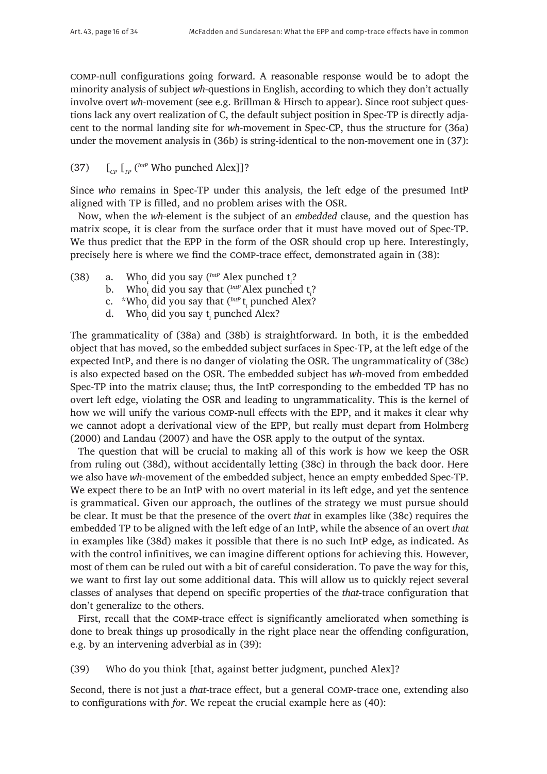comp-null configurations going forward. A reasonable response would be to adopt the minority analysis of subject *wh*-questions in English, according to which they don't actually involve overt *wh*-movement (see e.g. Brillman & Hirsch to appear). Since root subject questions lack any overt realization of C, the default subject position in Spec-TP is directly adjacent to the normal landing site for *wh*-movement in Spec-CP, thus the structure for (36a) under the movement analysis in (36b) is string-identical to the non-movement one in (37):

(37)  $\left[\begin{matrix} C_p \end{matrix}\right]$   $\left[\begin{matrix} mP \end{matrix}\right]$  Who punched Alex]]?

Since *who* remains in Spec-TP under this analysis, the left edge of the presumed IntP aligned with TP is filled, and no problem arises with the OSR.

Now, when the *wh*-element is the subject of an *embedded* clause, and the question has matrix scope, it is clear from the surface order that it must have moved out of Spec-TP. We thus predict that the EPP in the form of the OSR should crop up here. Interestingly, precisely here is where we find the comp-trace effect, demonstrated again in (38):

- (38) a. Who*<sup>i</sup>* did you say (*IntP* Alex punched t*<sup>i</sup>* ?
	- b. Who*<sup>i</sup>* did you say that (*IntP* Alex punched t*<sup>i</sup>* ?
	- c. \*Who*<sup>i</sup>* did you say that (*IntP* t*<sup>i</sup>* punched Alex?
	- d. Who*<sup>i</sup>* did you say t*<sup>i</sup>* punched Alex?

The grammaticality of (38a) and (38b) is straightforward. In both, it is the embedded object that has moved, so the embedded subject surfaces in Spec-TP, at the left edge of the expected IntP, and there is no danger of violating the OSR. The ungrammaticality of (38c) is also expected based on the OSR. The embedded subject has *wh*-moved from embedded Spec-TP into the matrix clause; thus, the IntP corresponding to the embedded TP has no overt left edge, violating the OSR and leading to ungrammaticality. This is the kernel of how we will unify the various comp-null effects with the EPP, and it makes it clear why we cannot adopt a derivational view of the EPP, but really must depart from Holmberg (2000) and Landau (2007) and have the OSR apply to the output of the syntax.

The question that will be crucial to making all of this work is how we keep the OSR from ruling out (38d), without accidentally letting (38c) in through the back door. Here we also have *wh*-movement of the embedded subject, hence an empty embedded Spec-TP. We expect there to be an IntP with no overt material in its left edge, and yet the sentence is grammatical. Given our approach, the outlines of the strategy we must pursue should be clear. It must be that the presence of the overt *that* in examples like (38c) requires the embedded TP to be aligned with the left edge of an IntP, while the absence of an overt *that* in examples like (38d) makes it possible that there is no such IntP edge, as indicated. As with the control infinitives, we can imagine different options for achieving this. However, most of them can be ruled out with a bit of careful consideration. To pave the way for this, we want to first lay out some additional data. This will allow us to quickly reject several classes of analyses that depend on specific properties of the *that*-trace configuration that don't generalize to the others.

First, recall that the comp-trace effect is significantly ameliorated when something is done to break things up prosodically in the right place near the offending configuration, e.g. by an intervening adverbial as in (39):

(39) Who do you think [that, against better judgment, punched Alex]?

Second, there is not just a *that*-trace effect, but a general comp-trace one, extending also to configurations with *for*. We repeat the crucial example here as (40):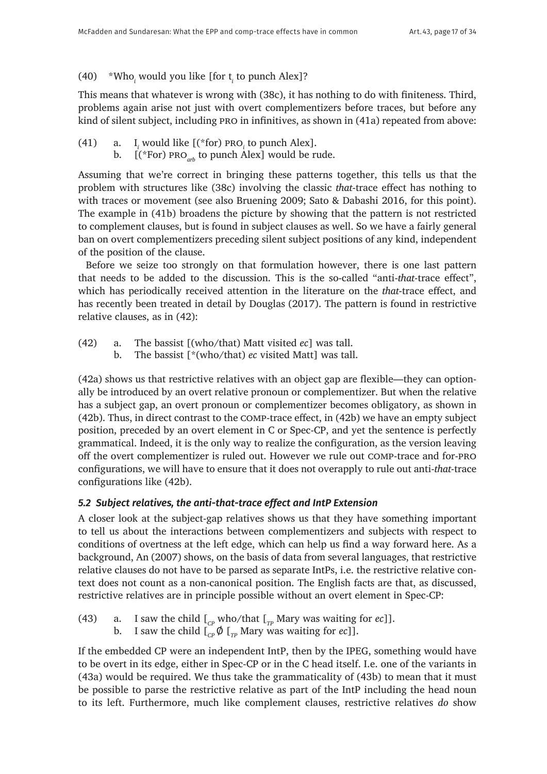# (40) \*Who*<sup>i</sup>* would you like [for t*<sup>i</sup>* to punch Alex]?

This means that whatever is wrong with (38c), it has nothing to do with finiteness. Third, problems again arise not just with overt complementizers before traces, but before any kind of silent subject, including pro in infinitives, as shown in (41a) repeated from above:

- $(41)$  a.  $\frac{1}{i}$  would like  $[(*$  for) PRO<sub>i</sub> to punch Alex].
	- b.  $[($ \*For) PRO<sub>*arb*</sub> to punch Alex] would be rude.

Assuming that we're correct in bringing these patterns together, this tells us that the problem with structures like (38c) involving the classic *that*-trace effect has nothing to with traces or movement (see also Bruening 2009; Sato & Dabashi 2016, for this point). The example in (41b) broadens the picture by showing that the pattern is not restricted to complement clauses, but is found in subject clauses as well. So we have a fairly general ban on overt complementizers preceding silent subject positions of any kind, independent of the position of the clause.

Before we seize too strongly on that formulation however, there is one last pattern that needs to be added to the discussion. This is the so-called "anti-*that*-trace effect", which has periodically received attention in the literature on the *that*-trace effect, and has recently been treated in detail by Douglas (2017). The pattern is found in restrictive relative clauses, as in (42):

- (42) a. The bassist [(who/that) Matt visited *ec*] was tall.
	- b. The bassist [\*(who/that) *ec* visited Matt] was tall.

(42a) shows us that restrictive relatives with an object gap are flexible—they can optionally be introduced by an overt relative pronoun or complementizer. But when the relative has a subject gap, an overt pronoun or complementizer becomes obligatory, as shown in (42b). Thus, in direct contrast to the comp-trace effect, in (42b) we have an empty subject position, preceded by an overt element in C or Spec-CP, and yet the sentence is perfectly grammatical. Indeed, it is the only way to realize the configuration, as the version leaving off the overt complementizer is ruled out. However we rule out comp-trace and for-pro configurations, we will have to ensure that it does not overapply to rule out anti-*that*-trace configurations like (42b).

# *5.2 Subject relatives, the anti-that-trace effect and IntP Extension*

A closer look at the subject-gap relatives shows us that they have something important to tell us about the interactions between complementizers and subjects with respect to conditions of overtness at the left edge, which can help us find a way forward here. As a background, An (2007) shows, on the basis of data from several languages, that restrictive relative clauses do not have to be parsed as separate IntPs, i.e. the restrictive relative context does not count as a non-canonical position. The English facts are that, as discussed, restrictive relatives are in principle possible without an overt element in Spec-CP:

- (43) a. I saw the child  $\begin{bmatrix} C_P & \text{who}/\text{that} \end{bmatrix}$  Mary was waiting for *ec*]].<br>b. I saw the child  $\begin{bmatrix} \alpha & \beta \end{bmatrix}$  Mary was waiting for *ec*]].
	- I saw the child  $\left[\int_{\mathbb{R}^p} \phi \right]_{\mathbb{R}^p}$  Mary was waiting for *ec*]].

If the embedded CP were an independent IntP, then by the IPEG, something would have to be overt in its edge, either in Spec-CP or in the C head itself. I.e. one of the variants in (43a) would be required. We thus take the grammaticality of (43b) to mean that it must be possible to parse the restrictive relative as part of the IntP including the head noun to its left. Furthermore, much like complement clauses, restrictive relatives *do* show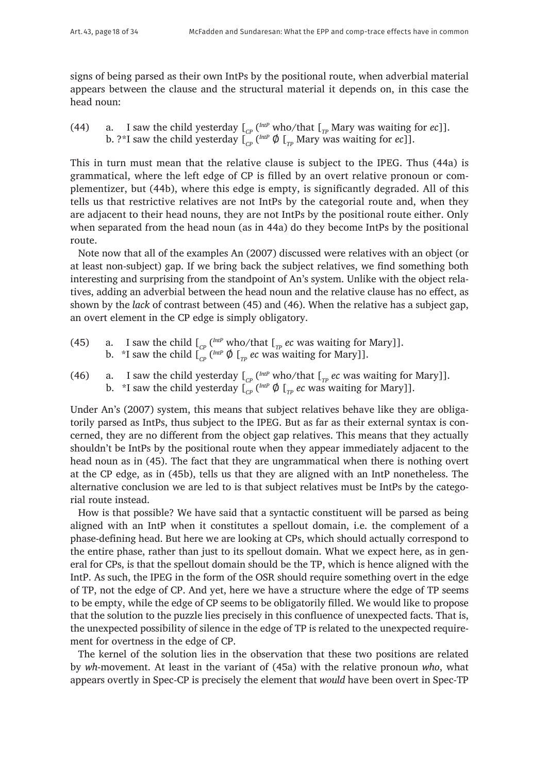signs of being parsed as their own IntPs by the positional route, when adverbial material appears between the clause and the structural material it depends on, in this case the head noun:

(44) a. I saw the child yesterday  $\int_{C_P}$  ( $^{IntP}$  who/that  $\int_{TP}$  Mary was waiting for *ec*]]. b. ?\*I saw the child yesterday  $\int_{\mathit{CP}} \binom{\mathit{IntP}}{\varphi} \int_{\mathit{TP}}$  Mary was waiting for  $ec$  ]].

This in turn must mean that the relative clause is subject to the IPEG. Thus (44a) is grammatical, where the left edge of CP is filled by an overt relative pronoun or complementizer, but (44b), where this edge is empty, is significantly degraded. All of this tells us that restrictive relatives are not IntPs by the categorial route and, when they are adjacent to their head nouns, they are not IntPs by the positional route either. Only when separated from the head noun (as in 44a) do they become IntPs by the positional route.

Note now that all of the examples An (2007) discussed were relatives with an object (or at least non-subject) gap. If we bring back the subject relatives, we find something both interesting and surprising from the standpoint of An's system. Unlike with the object relatives, adding an adverbial between the head noun and the relative clause has no effect, as shown by the *lack* of contrast between (45) and (46). When the relative has a subject gap, an overt element in the CP edge is simply obligatory.

- (45) a. I saw the child  $\int_{CP} \binom{IntP}{P}$  who/that  $\int_{TP}$  *ec* was waiting for Mary]]. b.  $\,$  \*I saw the child  $\int_{CP}$  ( $^{IntP}$   $\emptyset$   $\int_{TP}$   $ec$  was waiting for Mary]].
- (46) a. I saw the child yesterday  $\int_{C_P}$  ( $^{IntP}$  who/that  $\int_{TP}$  *ec* was waiting for Mary]]. b.  $\,$  \*I saw the child yesterday  $\boldsymbol{\mathfrak{l}}_{_{CP}}$  ( $^{IntP}$   $\boldsymbol{\varnothing}$   $\boldsymbol{\mathfrak{l}}_{_{TP}}$  *ec* was waiting for Mary]].

Under An's (2007) system, this means that subject relatives behave like they are obligatorily parsed as IntPs, thus subject to the IPEG. But as far as their external syntax is concerned, they are no different from the object gap relatives. This means that they actually shouldn't be IntPs by the positional route when they appear immediately adjacent to the head noun as in (45). The fact that they are ungrammatical when there is nothing overt at the CP edge, as in (45b), tells us that they are aligned with an IntP nonetheless. The alternative conclusion we are led to is that subject relatives must be IntPs by the categorial route instead.

How is that possible? We have said that a syntactic constituent will be parsed as being aligned with an IntP when it constitutes a spellout domain, i.e. the complement of a phase-defining head. But here we are looking at CPs, which should actually correspond to the entire phase, rather than just to its spellout domain. What we expect here, as in general for CPs, is that the spellout domain should be the TP, which is hence aligned with the IntP. As such, the IPEG in the form of the OSR should require something overt in the edge of TP, not the edge of CP. And yet, here we have a structure where the edge of TP seems to be empty, while the edge of CP seems to be obligatorily filled. We would like to propose that the solution to the puzzle lies precisely in this confluence of unexpected facts. That is, the unexpected possibility of silence in the edge of TP is related to the unexpected requirement for overtness in the edge of CP.

The kernel of the solution lies in the observation that these two positions are related by *wh*-movement. At least in the variant of (45a) with the relative pronoun *who*, what appears overtly in Spec-CP is precisely the element that *would* have been overt in Spec-TP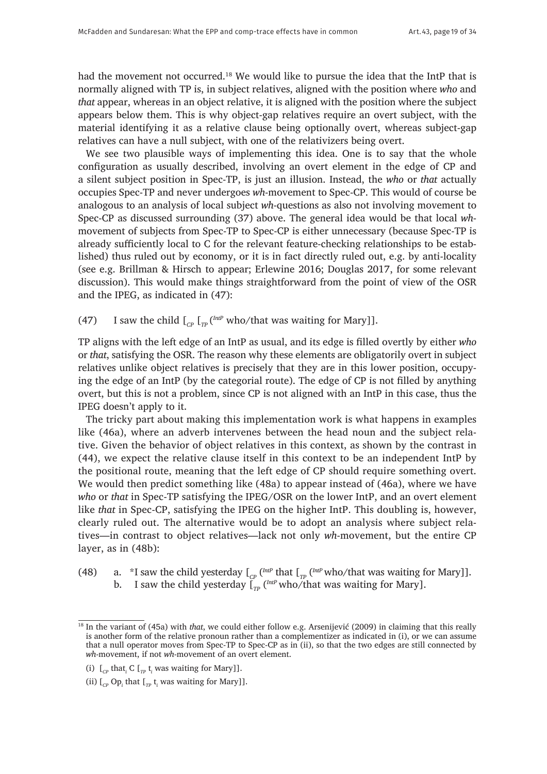had the movement not occurred.<sup>18</sup> We would like to pursue the idea that the IntP that is normally aligned with TP is, in subject relatives, aligned with the position where *who* and *that* appear, whereas in an object relative, it is aligned with the position where the subject appears below them. This is why object-gap relatives require an overt subject, with the material identifying it as a relative clause being optionally overt, whereas subject-gap relatives can have a null subject, with one of the relativizers being overt.

We see two plausible ways of implementing this idea. One is to say that the whole configuration as usually described, involving an overt element in the edge of CP and a silent subject position in Spec-TP, is just an illusion. Instead, the *who* or *that* actually occupies Spec-TP and never undergoes *wh*-movement to Spec-CP. This would of course be analogous to an analysis of local subject *wh*-questions as also not involving movement to Spec-CP as discussed surrounding (37) above. The general idea would be that local *wh*movement of subjects from Spec-TP to Spec-CP is either unnecessary (because Spec-TP is already sufficiently local to C for the relevant feature-checking relationships to be established) thus ruled out by economy, or it is in fact directly ruled out, e.g. by anti-locality (see e.g. Brillman & Hirsch to appear; Erlewine 2016; Douglas 2017, for some relevant discussion). This would make things straightforward from the point of view of the OSR and the IPEG, as indicated in (47):

# (47) I saw the child  $\int_{C_p} \int_{T_p}$  ( $\frac{Int^p}{P}$  who/that was waiting for Mary]].

TP aligns with the left edge of an IntP as usual, and its edge is filled overtly by either *who* or *that*, satisfying the OSR. The reason why these elements are obligatorily overt in subject relatives unlike object relatives is precisely that they are in this lower position, occupying the edge of an IntP (by the categorial route). The edge of CP is not filled by anything overt, but this is not a problem, since CP is not aligned with an IntP in this case, thus the IPEG doesn't apply to it.

The tricky part about making this implementation work is what happens in examples like (46a), where an adverb intervenes between the head noun and the subject relative. Given the behavior of object relatives in this context, as shown by the contrast in (44), we expect the relative clause itself in this context to be an independent IntP by the positional route, meaning that the left edge of CP should require something overt. We would then predict something like (48a) to appear instead of (46a), where we have *who* or *that* in Spec-TP satisfying the IPEG/OSR on the lower IntP, and an overt element like *that* in Spec-CP, satisfying the IPEG on the higher IntP. This doubling is, however, clearly ruled out. The alternative would be to adopt an analysis where subject relatives—in contrast to object relatives—lack not only *wh*-movement, but the entire CP layer, as in (48b):

- (48) a. \*I saw the child yesterday  $\int_{CP} \int_{CP}^{Imp}$  that  $\int_{TP} \int_{CP}^{Imp}$  who/that was waiting for Mary]].
	- b. I saw the child yesterday  $\int_{\tau_P}^{\tau}$  (*IntP* who/that was waiting for Mary].

<sup>18</sup> In the variant of (45a) with *that*, we could either follow e.g. Arsenijević (2009) in claiming that this really is another form of the relative pronoun rather than a complementizer as indicated in (i), or we can assume that a null operator moves from Spec-TP to Spec-CP as in (ii), so that the two edges are still connected by *wh*-movement, if not *wh*-movement of an overt element.

<sup>(</sup>i)  $\left[\begin{smallmatrix}C_P\end{smallmatrix}\right]$  that<sub>*i*</sub> C  $\left[\begin{smallmatrix}T_P\end{smallmatrix}\right]$  t<sub>*i*</sub> was waiting for Mary]].

<sup>(</sup>ii)  $\left[\begin{smallmatrix}C_P\end{smallmatrix}\right]$  Op<sub>*i*</sub> that  $\left[\begin{smallmatrix}I_P\end{smallmatrix}\right]$  t<sub>i</sub> was waiting for Mary]].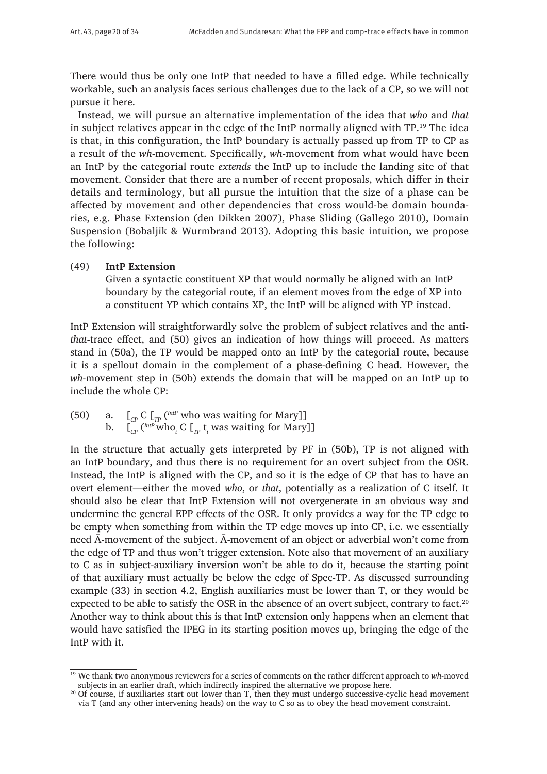There would thus be only one IntP that needed to have a filled edge. While technically workable, such an analysis faces serious challenges due to the lack of a CP, so we will not pursue it here.

Instead, we will pursue an alternative implementation of the idea that *who* and *that* in subject relatives appear in the edge of the IntP normally aligned with TP.19 The idea is that, in this configuration, the IntP boundary is actually passed up from TP to CP as a result of the *wh*-movement. Specifically, *wh*-movement from what would have been an IntP by the categorial route *extends* the IntP up to include the landing site of that movement. Consider that there are a number of recent proposals, which differ in their details and terminology, but all pursue the intuition that the size of a phase can be affected by movement and other dependencies that cross would-be domain boundaries, e.g. Phase Extension (den Dikken 2007), Phase Sliding (Gallego 2010), Domain Suspension (Bobaljik & Wurmbrand 2013). Adopting this basic intuition, we propose the following:

#### (49) **IntP Extension**

Given a syntactic constituent XP that would normally be aligned with an IntP boundary by the categorial route, if an element moves from the edge of XP into a constituent YP which contains XP, the IntP will be aligned with YP instead.

IntP Extension will straightforwardly solve the problem of subject relatives and the anti*that*-trace effect, and (50) gives an indication of how things will proceed. As matters stand in (50a), the TP would be mapped onto an IntP by the categorial route, because it is a spellout domain in the complement of a phase-defining C head. However, the *wh*-movement step in (50b) extends the domain that will be mapped on an IntP up to include the whole CP:

(50) a.  $\left[\begin{array}{cc}C & C\end{array}\right]$   $\left[\begin{array}{cc}C & C\end{array}\right]$  a.  $\left[\begin{array}{cc}C & C\end{array}\right]$   $\left[\begin{array}{cc}C & D\end{array}\right]$  who was waiting for Mary] b. [*CP* (*IntP* who*<sup>i</sup>* C [*TP* t*<sup>i</sup>* was waiting for Mary]]

In the structure that actually gets interpreted by PF in (50b), TP is not aligned with an IntP boundary, and thus there is no requirement for an overt subject from the OSR. Instead, the IntP is aligned with the CP, and so it is the edge of CP that has to have an overt element—either the moved *who*, or *that*, potentially as a realization of C itself. It should also be clear that IntP Extension will not overgenerate in an obvious way and undermine the general EPP effects of the OSR. It only provides a way for the TP edge to be empty when something from within the TP edge moves up into CP, i.e. we essentially need Ā-movement of the subject. Ā-movement of an object or adverbial won't come from the edge of TP and thus won't trigger extension. Note also that movement of an auxiliary to C as in subject-auxiliary inversion won't be able to do it, because the starting point of that auxiliary must actually be below the edge of Spec-TP. As discussed surrounding example (33) in section 4.2, English auxiliaries must be lower than T, or they would be expected to be able to satisfy the OSR in the absence of an overt subject, contrary to fact.<sup>20</sup> Another way to think about this is that IntP extension only happens when an element that would have satisfied the IPEG in its starting position moves up, bringing the edge of the IntP with it.

<sup>19</sup> We thank two anonymous reviewers for a series of comments on the rather different approach to *wh*-moved subjects in an earlier draft, which indirectly inspired the alternative we propose here.

<sup>&</sup>lt;sup>20</sup> Of course, if auxiliaries start out lower than T, then they must undergo successive-cyclic head movement via T (and any other intervening heads) on the way to C so as to obey the head movement constraint.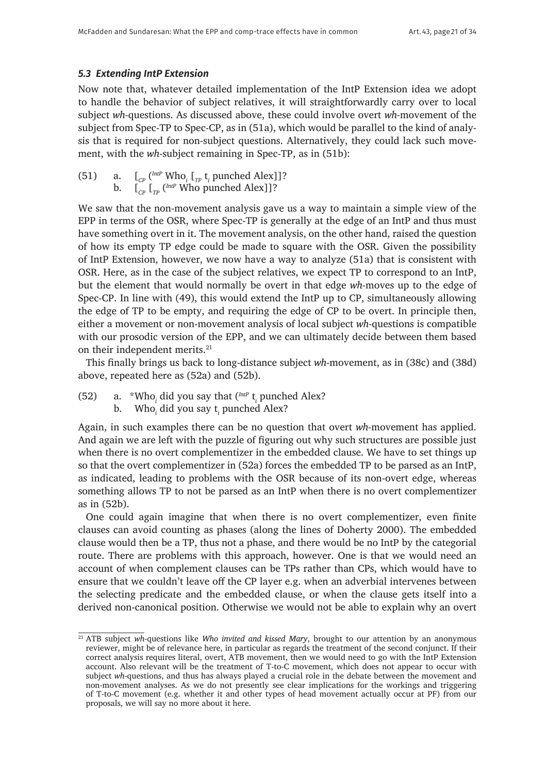#### *5.3 Extending IntP Extension*

Now note that, whatever detailed implementation of the IntP Extension idea we adopt to handle the behavior of subject relatives, it will straightforwardly carry over to local subject *wh-*questions. As discussed above, these could involve overt *wh-*movement of the subject from Spec-TP to Spec-CP, as in (51a), which would be parallel to the kind of analysis that is required for non-subject questions. Alternatively, they could lack such movement, with the *wh*-subject remaining in Spec-TP, as in (51b):

(51) a.  $\left[\begin{array}{cc} C_P \end{array}\right]^{IntP}$  Who<sub>i</sub> $\left[\begin{array}{cc} T_P & t_i \end{array}\right]$  punched Alex]]? b. [*CP* [*TP* (*IntP* Who punched Alex]]?

We saw that the non-movement analysis gave us a way to maintain a simple view of the EPP in terms of the OSR, where Spec-TP is generally at the edge of an IntP and thus must have something overt in it. The movement analysis, on the other hand, raised the question of how its empty TP edge could be made to square with the OSR. Given the possibility of IntP Extension, however, we now have a way to analyze (51a) that is consistent with OSR. Here, as in the case of the subject relatives, we expect TP to correspond to an IntP, but the element that would normally be overt in that edge *wh*-moves up to the edge of Spec-CP. In line with (49), this would extend the IntP up to CP, simultaneously allowing the edge of TP to be empty, and requiring the edge of CP to be overt. In principle then, either a movement or non-movement analysis of local subject *wh*-questions is compatible with our prosodic version of the EPP, and we can ultimately decide between them based on their independent merits.<sup>21</sup>

This finally brings us back to long-distance subject *wh*-movement, as in (38c) and (38d) above, repeated here as (52a) and (52b).

- (52) a. \*Who<sub>*i*</sub> did you say that  $\binom{Int}{i}$  t<sub>*i*</sub> punched Alex?
	- b. Who*<sup>i</sup>* did you say t*<sup>i</sup>* punched Alex?

Again, in such examples there can be no question that overt *wh*-movement has applied. And again we are left with the puzzle of figuring out why such structures are possible just when there is no overt complementizer in the embedded clause. We have to set things up so that the overt complementizer in (52a) forces the embedded TP to be parsed as an IntP, as indicated, leading to problems with the OSR because of its non-overt edge, whereas something allows TP to not be parsed as an IntP when there is no overt complementizer as in (52b).

One could again imagine that when there is no overt complementizer, even finite clauses can avoid counting as phases (along the lines of Doherty 2000). The embedded clause would then be a TP, thus not a phase, and there would be no IntP by the categorial route. There are problems with this approach, however. One is that we would need an account of when complement clauses can be TPs rather than CPs, which would have to ensure that we couldn't leave off the CP layer e.g. when an adverbial intervenes between the selecting predicate and the embedded clause, or when the clause gets itself into a derived non-canonical position. Otherwise we would not be able to explain why an overt

<sup>&</sup>lt;sup>21</sup> ATB subject *wh*-questions like *Who invited and kissed Mary*, brought to our attention by an anonymous reviewer, might be of relevance here, in particular as regards the treatment of the second conjunct. If their correct analysis requires literal, overt, ATB movement, then we would need to go with the IntP Extension account. Also relevant will be the treatment of T-to-C movement, which does not appear to occur with subject *wh*-questions, and thus has always played a crucial role in the debate between the movement and non-movement analyses. As we do not presently see clear implications for the workings and triggering of T-to-C movement (e.g. whether it and other types of head movement actually occur at PF) from our proposals, we will say no more about it here.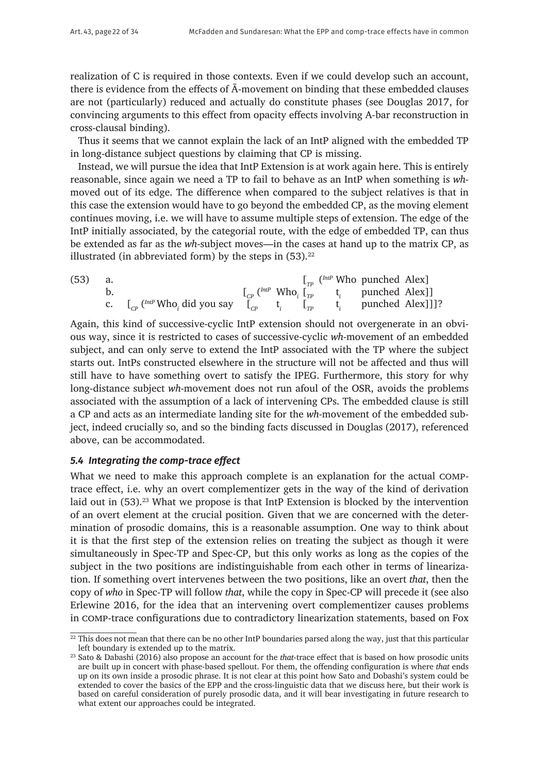realization of C is required in those contexts. Even if we could develop such an account, there is evidence from the effects of Ā-movement on binding that these embedded clauses are not (particularly) reduced and actually do constitute phases (see Douglas 2017, for convincing arguments to this effect from opacity effects involving A-bar reconstruction in cross-clausal binding).

Thus it seems that we cannot explain the lack of an IntP aligned with the embedded TP in long-distance subject questions by claiming that CP is missing.

Instead, we will pursue the idea that IntP Extension is at work again here. This is entirely reasonable, since again we need a TP to fail to behave as an IntP when something is *wh*moved out of its edge. The difference when compared to the subject relatives is that in this case the extension would have to go beyond the embedded CP, as the moving element continues moving, i.e. we will have to assume multiple steps of extension. The edge of the IntP initially associated, by the categorial route, with the edge of embedded TP, can thus be extended as far as the *wh*-subject moves—in the cases at hand up to the matrix CP, as illustrated (in abbreviated form) by the steps in  $(53)$ .<sup>22</sup>

(53) a.  $\left[\begin{array}{cc}I_{TP} \end{array}\right]$  (*IntP* Who punched Alex) b.  $\left[\begin{array}{cc} \begin{array}{cc} \begin{array}{cc} \begin{array}{cc} \end{array} & \begin{array}{cc} \end{array} & \begin{array}{cc} \end{array} & \begin{array}{cc} \end{array} & \begin{array}{cc} \end{array} & \begin{array}{cc} \end{array} & \begin{array}{cc} \end{array} & \begin{array}{cc} \end{array} & \begin{array}{cc} \end{array} & \begin{array}{cc} \end{array} & \begin{array}{cc} \end{array} & \begin{array}{cc} \end{array} & \begin{array}{cc} \end{array} & \begin{array}{c} \end{array} & \begin{array}{c} \end{array}$ c. [*CP* (*IntP* Who*<sup>i</sup>* did you say [*CP* t*<sup>i</sup>* [*TP* t*<sup>i</sup>* punched Alex]]]?

Again, this kind of successive-cyclic IntP extension should not overgenerate in an obvious way, since it is restricted to cases of successive-cyclic *wh*-movement of an embedded subject, and can only serve to extend the IntP associated with the TP where the subject starts out. IntPs constructed elsewhere in the structure will not be affected and thus will still have to have something overt to satisfy the IPEG. Furthermore, this story for why long-distance subject *wh*-movement does not run afoul of the OSR, avoids the problems associated with the assumption of a lack of intervening CPs. The embedded clause is still a CP and acts as an intermediate landing site for the *wh*-movement of the embedded subject, indeed crucially so, and so the binding facts discussed in Douglas (2017), referenced above, can be accommodated.

# *5.4 Integrating the comp-trace effect*

What we need to make this approach complete is an explanation for the actual comptrace effect, i.e. why an overt complementizer gets in the way of the kind of derivation laid out in (53).<sup>23</sup> What we propose is that IntP Extension is blocked by the intervention of an overt element at the crucial position. Given that we are concerned with the determination of prosodic domains, this is a reasonable assumption. One way to think about it is that the first step of the extension relies on treating the subject as though it were simultaneously in Spec-TP and Spec-CP, but this only works as long as the copies of the subject in the two positions are indistinguishable from each other in terms of linearization. If something overt intervenes between the two positions, like an overt *that*, then the copy of *who* in Spec-TP will follow *that*, while the copy in Spec-CP will precede it (see also Erlewine 2016, for the idea that an intervening overt complementizer causes problems in comp-trace configurations due to contradictory linearization statements, based on Fox

 $\frac{22 \text{ This does not mean that there can be no other Inf.}$  boundaries parsed along the way, just that this particular left boundary is extended up to the matrix.

<sup>&</sup>lt;sup>23</sup> Sato & Dabashi (2016) also propose an account for the *that*-trace effect that is based on how prosodic units are built up in concert with phase-based spellout. For them, the offending configuration is where *that* ends up on its own inside a prosodic phrase. It is not clear at this point how Sato and Dobashi's system could be extended to cover the basics of the EPP and the cross-linguistic data that we discuss here, but their work is based on careful consideration of purely prosodic data, and it will bear investigating in future research to what extent our approaches could be integrated.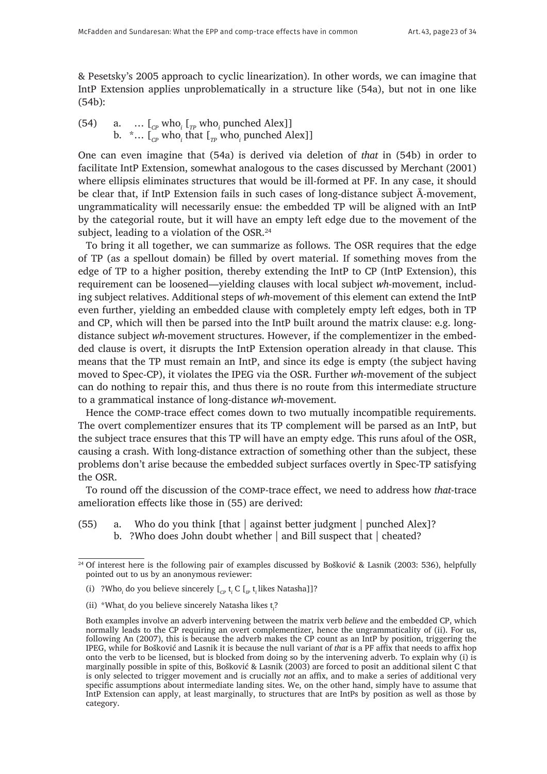& Pesetsky's 2005 approach to cyclic linearization). In other words, we can imagine that IntP Extension applies unproblematically in a structure like (54a), but not in one like (54b):

(54) a.  $\ldots$   $\lbrack_{\mathcal{C}P}$  who<sub>i</sub>  $\lbrack_{\mathcal{T}P}$  who<sub>i</sub> punched Alex]] b.  $\sim$  ... [<sub>*CP*</sub> who<sub>*i*</sub> that [<sub>*TP*</sub> who<sub>*i*</sub> punched Alex]]

One can even imagine that (54a) is derived via deletion of *that* in (54b) in order to facilitate IntP Extension, somewhat analogous to the cases discussed by Merchant (2001) where ellipsis eliminates structures that would be ill-formed at PF. In any case, it should be clear that, if IntP Extension fails in such cases of long-distance subject Ā-movement, ungrammaticality will necessarily ensue: the embedded TP will be aligned with an IntP by the categorial route, but it will have an empty left edge due to the movement of the subject, leading to a violation of the OSR.<sup>24</sup>

To bring it all together, we can summarize as follows. The OSR requires that the edge of TP (as a spellout domain) be filled by overt material. If something moves from the edge of TP to a higher position, thereby extending the IntP to CP (IntP Extension), this requirement can be loosened—yielding clauses with local subject *wh*-movement, including subject relatives. Additional steps of *wh*-movement of this element can extend the IntP even further, yielding an embedded clause with completely empty left edges, both in TP and CP, which will then be parsed into the IntP built around the matrix clause: e.g. longdistance subject *wh*-movement structures. However, if the complementizer in the embedded clause is overt, it disrupts the IntP Extension operation already in that clause. This means that the TP must remain an IntP, and since its edge is empty (the subject having moved to Spec-CP), it violates the IPEG via the OSR. Further *wh*-movement of the subject can do nothing to repair this, and thus there is no route from this intermediate structure to a grammatical instance of long-distance *wh*-movement.

Hence the comp-trace effect comes down to two mutually incompatible requirements. The overt complementizer ensures that its TP complement will be parsed as an IntP, but the subject trace ensures that this TP will have an empty edge. This runs afoul of the OSR, causing a crash. With long-distance extraction of something other than the subject, these problems don't arise because the embedded subject surfaces overtly in Spec-TP satisfying the OSR.

To round off the discussion of the comp-trace effect, we need to address how *that*-trace amelioration effects like those in (55) are derived:

- (55) a. Who do you think [that | against better judgment | punched Alex]?
	- b. ?Who does John doubt whether | and Bill suspect that | cheated?

<sup>&</sup>lt;sup>24</sup> Of interest here is the following pair of examples discussed by Bošković & Lasnik (2003: 536), helpfully pointed out to us by an anonymous reviewer:

<sup>(</sup>i) ?Who<sub>*i*</sub> do you believe sincerely [<sub>*CP*</sub> t<sub>*i*</sub></sub> C [<sub>*IP*</sub> t<sub>*i*</sub> likes Natasha]]?

<sup>(</sup>ii) \*What*<sup>i</sup>* do you believe sincerely Natasha likes t*<sup>i</sup>* ?

Both examples involve an adverb intervening between the matrix verb *believe* and the embedded CP, which normally leads to the CP requiring an overt complementizer, hence the ungrammaticality of (ii). For us, following An (2007), this is because the adverb makes the CP count as an IntP by position, triggering the IPEG, while for Bošković and Lasnik it is because the null variant of *that* is a PF affix that needs to affix hop onto the verb to be licensed, but is blocked from doing so by the intervening adverb. To explain why (i) is marginally possible in spite of this, Bošković & Lasnik (2003) are forced to posit an additional silent C that is only selected to trigger movement and is crucially *not* an affix, and to make a series of additional very specific assumptions about intermediate landing sites. We, on the other hand, simply have to assume that IntP Extension can apply, at least marginally, to structures that are IntPs by position as well as those by category.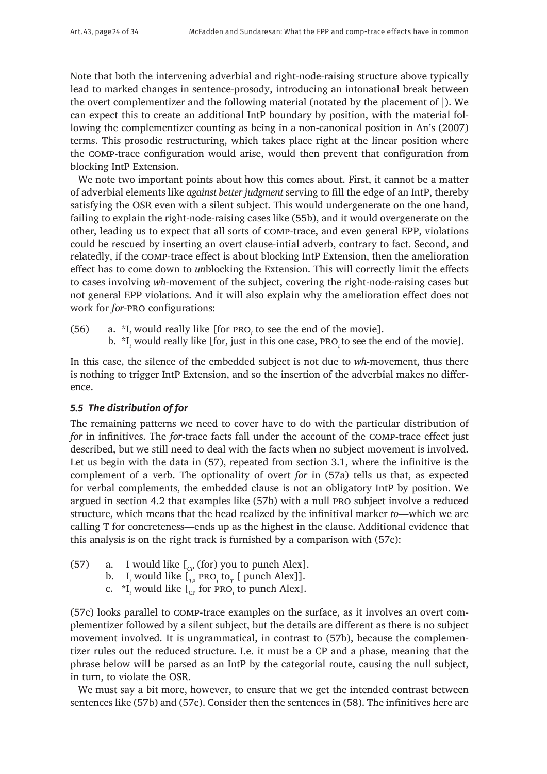Note that both the intervening adverbial and right-node-raising structure above typically lead to marked changes in sentence-prosody, introducing an intonational break between the overt complementizer and the following material (notated by the placement of |). We can expect this to create an additional IntP boundary by position, with the material following the complementizer counting as being in a non-canonical position in An's (2007) terms. This prosodic restructuring, which takes place right at the linear position where the comp-trace configuration would arise, would then prevent that configuration from blocking IntP Extension.

We note two important points about how this comes about. First, it cannot be a matter of adverbial elements like *against better judgment* serving to fill the edge of an IntP, thereby satisfying the OSR even with a silent subject. This would undergenerate on the one hand, failing to explain the right-node-raising cases like (55b), and it would overgenerate on the other, leading us to expect that all sorts of comp-trace, and even general EPP, violations could be rescued by inserting an overt clause-intial adverb, contrary to fact. Second, and relatedly, if the comp-trace effect is about blocking IntP Extension, then the amelioration effect has to come down to *un*blocking the Extension. This will correctly limit the effects to cases involving *wh*-movement of the subject, covering the right-node-raising cases but not general EPP violations. And it will also explain why the amelioration effect does not work for *for*-pro configurations:

(56) a.  $*I_i$  would really like [for PRO<sub>i</sub> to see the end of the movie].

b.  $\mathrm{^*I}_{i}$  would really like [for, just in this one case, PRO<sub>i</sub> to see the end of the movie].

In this case, the silence of the embedded subject is not due to *wh*-movement, thus there is nothing to trigger IntP Extension, and so the insertion of the adverbial makes no difference.

# *5.5 The distribution of for*

The remaining patterns we need to cover have to do with the particular distribution of *for* in infinitives. The *for*-trace facts fall under the account of the comp-trace effect just described, but we still need to deal with the facts when no subject movement is involved. Let us begin with the data in (57), repeated from section 3.1, where the infinitive is the complement of a verb. The optionality of overt *for* in (57a) tells us that, as expected for verbal complements, the embedded clause is not an obligatory IntP by position. We argued in section 4.2 that examples like (57b) with a null pro subject involve a reduced structure, which means that the head realized by the infinitival marker *to*—which we are calling T for concreteness—ends up as the highest in the clause. Additional evidence that this analysis is on the right track is furnished by a comparison with (57c):

- (57) a. I would like  $\int_{CP}$  (for) you to punch Alex].
	- b.  $I_i$  would like  $I_{TP}$  pro<sub>*i*</sub> to<sub>*T*</sub> [ punch Alex]].
		- c.  $*_{\mathrm{I}_i}$  would like  $\mathrm{I}_{\mathrm{cp}}$  for PRO<sub>*i*</sub> to punch Alex].

(57c) looks parallel to comp-trace examples on the surface, as it involves an overt complementizer followed by a silent subject, but the details are different as there is no subject movement involved. It is ungrammatical, in contrast to (57b), because the complementizer rules out the reduced structure. I.e. it must be a CP and a phase, meaning that the phrase below will be parsed as an IntP by the categorial route, causing the null subject, in turn, to violate the OSR.

We must say a bit more, however, to ensure that we get the intended contrast between sentences like (57b) and (57c). Consider then the sentences in (58). The infinitives here are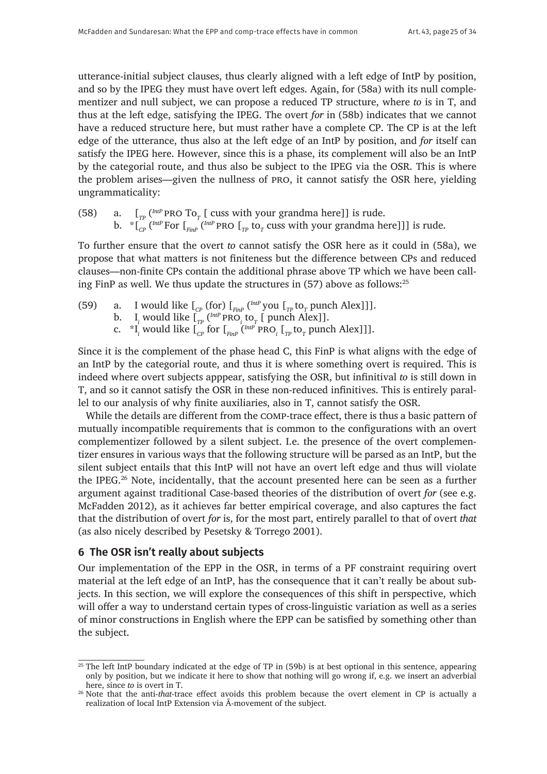utterance-initial subject clauses, thus clearly aligned with a left edge of IntP by position, and so by the IPEG they must have overt left edges. Again, for (58a) with its null complementizer and null subject, we can propose a reduced TP structure, where *to* is in T, and thus at the left edge, satisfying the IPEG. The overt *for* in (58b) indicates that we cannot have a reduced structure here, but must rather have a complete CP. The CP is at the left edge of the utterance, thus also at the left edge of an IntP by position, and *for* itself can satisfy the IPEG here. However, since this is a phase, its complement will also be an IntP by the categorial route, and thus also be subject to the IPEG via the OSR. This is where the problem arises—given the nullness of pro, it cannot satisfy the OSR here, yielding ungrammaticality:

(58) a.  $\left[\begin{matrix}T_p\end{matrix}\right]$ <sup>(*IntP*</sup> PRO To<sub>*T*</sub> [ cuss with your grandma here]] is rude. b.  $\int_{C}^{\infty}$  (*IntP* For  $\int_{FinP}$  (*IntP* PRO  $\int_{TP}$  to<sub>*T*</sub> cuss with your grandma here]]] is rude.

To further ensure that the overt *to* cannot satisfy the OSR here as it could in (58a), we propose that what matters is not finiteness but the difference between CPs and reduced clauses—non-finite CPs contain the additional phrase above TP which we have been calling FinP as well. We thus update the structures in (57) above as follows:25

- (59) a. I would like  $\int_{CP}$  (for)  $\int_{Finp}$  (<sup>*IntP*</sup> you  $\int_{TP}$  to<sub>*T*</sub> punch Alex]]].
	- b.  $I_i$  would like  $I_{TP}$  ( $^{IntP}$  PRO<sub>*i*</sub></sub> to<sub>*T*</sub> [ punch Alex]].
		- c.  ${}^{\ast}I_i$  would like  $\left[\int_{CP}$  for  $\left[\int_{FinP} ({}^{IntP}$  PRO<sub>*i*</sub>  $\left[\int_{TP}$  to<sub>*T*</sub> punch Alex]]].

Since it is the complement of the phase head C, this FinP is what aligns with the edge of an IntP by the categorial route, and thus it is where something overt is required. This is indeed where overt subjects apppear, satisfying the OSR, but infinitival *to* is still down in T, and so it cannot satisfy the OSR in these non-reduced infinitives. This is entirely parallel to our analysis of why finite auxiliaries, also in T, cannot satisfy the OSR.

While the details are different from the comp-trace effect, there is thus a basic pattern of mutually incompatible requirements that is common to the configurations with an overt complementizer followed by a silent subject. I.e. the presence of the overt complementizer ensures in various ways that the following structure will be parsed as an IntP, but the silent subject entails that this IntP will not have an overt left edge and thus will violate the IPEG.26 Note, incidentally, that the account presented here can be seen as a further argument against traditional Case-based theories of the distribution of overt *for* (see e.g. McFadden 2012), as it achieves far better empirical coverage, and also captures the fact that the distribution of overt *for* is, for the most part, entirely parallel to that of overt *that* (as also nicely described by Pesetsky & Torrego 2001).

# **6 The OSR isn't really about subjects**

Our implementation of the EPP in the OSR, in terms of a PF constraint requiring overt material at the left edge of an IntP, has the consequence that it can't really be about subjects. In this section, we will explore the consequences of this shift in perspective, which will offer a way to understand certain types of cross-linguistic variation as well as a series of minor constructions in English where the EPP can be satisfied by something other than the subject.

<sup>&</sup>lt;sup>25</sup> The left IntP boundary indicated at the edge of TP in (59b) is at best optional in this sentence, appearing only by position, but we indicate it here to show that nothing will go wrong if, e.g. we insert an adverbial here, since *to* is overt in T.

<sup>26</sup> Note that the anti-*that*-trace effect avoids this problem because the overt element in CP is actually a realization of local IntP Extension via Ā-movement of the subject.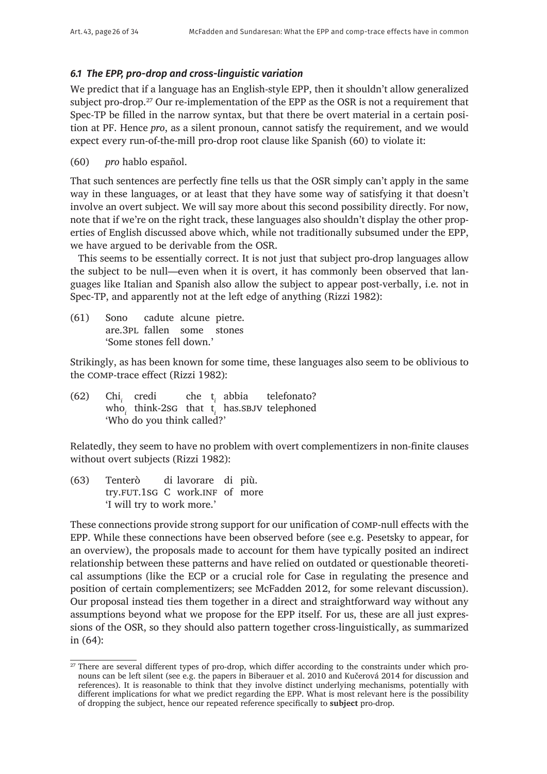# *6.1 The EPP, pro-drop and cross-linguistic variation*

We predict that if a language has an English-style EPP, then it shouldn't allow generalized subject pro-drop.<sup>27</sup> Our re-implementation of the EPP as the OSR is not a requirement that Spec-TP be filled in the narrow syntax, but that there be overt material in a certain position at PF. Hence *pro*, as a silent pronoun, cannot satisfy the requirement, and we would expect every run-of-the-mill pro-drop root clause like Spanish (60) to violate it:

(60) *pro* hablo español.

That such sentences are perfectly fine tells us that the OSR simply can't apply in the same way in these languages, or at least that they have some way of satisfying it that doesn't involve an overt subject. We will say more about this second possibility directly. For now, note that if we're on the right track, these languages also shouldn't display the other properties of English discussed above which, while not traditionally subsumed under the EPP, we have argued to be derivable from the OSR.

This seems to be essentially correct. It is not just that subject pro-drop languages allow the subject to be null—even when it is overt, it has commonly been observed that languages like Italian and Spanish also allow the subject to appear post-verbally, i.e. not in Spec-TP, and apparently not at the left edge of anything (Rizzi 1982):

(61) Sono cadute alcune pietre. are.3pl fallen some stones 'Some stones fell down.'

Strikingly, as has been known for some time, these languages also seem to be oblivious to the comp-trace effect (Rizzi 1982):

(62) Chi*<sup>i</sup>* credi che t*<sup>i</sup>* abbia telefonato? who*<sup>i</sup>* think-2sg that t*<sup>i</sup>* has.sbjv telephoned 'Who do you think called?'

Relatedly, they seem to have no problem with overt complementizers in non-finite clauses without overt subjects (Rizzi 1982):

(63) Tenterò di lavorare di più. try.fut.1sg C work.inf of more 'I will try to work more.'

These connections provide strong support for our unification of comp-null effects with the EPP. While these connections have been observed before (see e.g. Pesetsky to appear, for an overview), the proposals made to account for them have typically posited an indirect relationship between these patterns and have relied on outdated or questionable theoretical assumptions (like the ECP or a crucial role for Case in regulating the presence and position of certain complementizers; see McFadden 2012, for some relevant discussion). Our proposal instead ties them together in a direct and straightforward way without any assumptions beyond what we propose for the EPP itself. For us, these are all just expressions of the OSR, so they should also pattern together cross-linguistically, as summarized in (64):

<sup>&</sup>lt;sup>27</sup> There are several different types of pro-drop, which differ according to the constraints under which pronouns can be left silent (see e.g. the papers in Biberauer et al. 2010 and Kučerová 2014 for discussion and references). It is reasonable to think that they involve distinct underlying mechanisms, potentially with different implications for what we predict regarding the EPP. What is most relevant here is the possibility of dropping the subject, hence our repeated reference specifically to **subject** pro-drop.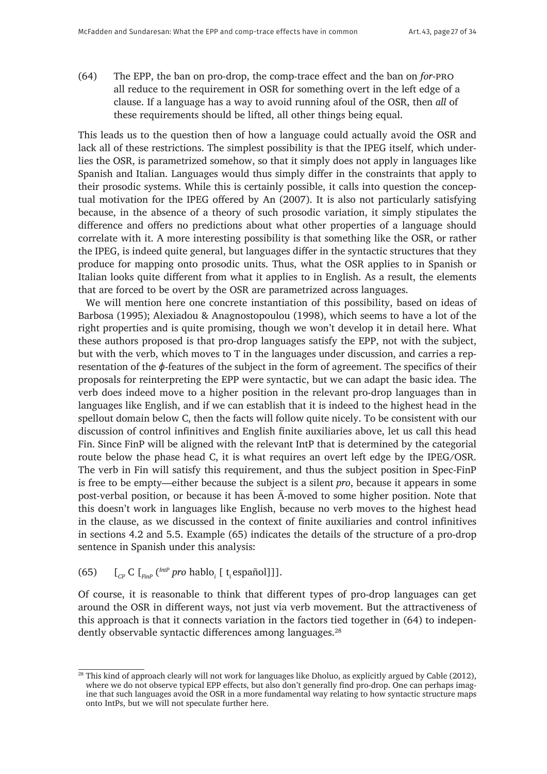(64) The EPP, the ban on pro-drop, the comp-trace effect and the ban on *for*-pro all reduce to the requirement in OSR for something overt in the left edge of a clause. If a language has a way to avoid running afoul of the OSR, then *all* of these requirements should be lifted, all other things being equal.

This leads us to the question then of how a language could actually avoid the OSR and lack all of these restrictions. The simplest possibility is that the IPEG itself, which underlies the OSR, is parametrized somehow, so that it simply does not apply in languages like Spanish and Italian. Languages would thus simply differ in the constraints that apply to their prosodic systems. While this is certainly possible, it calls into question the conceptual motivation for the IPEG offered by An (2007). It is also not particularly satisfying because, in the absence of a theory of such prosodic variation, it simply stipulates the difference and offers no predictions about what other properties of a language should correlate with it. A more interesting possibility is that something like the OSR, or rather the IPEG, is indeed quite general, but languages differ in the syntactic structures that they produce for mapping onto prosodic units. Thus, what the OSR applies to in Spanish or Italian looks quite different from what it applies to in English. As a result, the elements that are forced to be overt by the OSR are parametrized across languages.

We will mention here one concrete instantiation of this possibility, based on ideas of Barbosa (1995); Alexiadou & Anagnostopoulou (1998), which seems to have a lot of the right properties and is quite promising, though we won't develop it in detail here. What these authors proposed is that pro-drop languages satisfy the EPP, not with the subject, but with the verb, which moves to T in the languages under discussion, and carries a representation of the *ϕ*-features of the subject in the form of agreement. The specifics of their proposals for reinterpreting the EPP were syntactic, but we can adapt the basic idea. The verb does indeed move to a higher position in the relevant pro-drop languages than in languages like English, and if we can establish that it is indeed to the highest head in the spellout domain below C, then the facts will follow quite nicely. To be consistent with our discussion of control infinitives and English finite auxiliaries above, let us call this head Fin. Since FinP will be aligned with the relevant IntP that is determined by the categorial route below the phase head C, it is what requires an overt left edge by the IPEG/OSR. The verb in Fin will satisfy this requirement, and thus the subject position in Spec-FinP is free to be empty—either because the subject is a silent *pro*, because it appears in some post-verbal position, or because it has been Ā-moved to some higher position. Note that this doesn't work in languages like English, because no verb moves to the highest head in the clause, as we discussed in the context of finite auxiliaries and control infinitives in sections 4.2 and 5.5. Example (65) indicates the details of the structure of a pro-drop sentence in Spanish under this analysis:

# (65)  $\left[\begin{matrix}C_P\end{matrix}C\right]\left[\begin{matrix}C_{FinP}\end{matrix}P^{mP}pro\text{ hablo}_i\left[\begin{matrix}t_i\text{ español}\end{matrix}C\right]\right].$

Of course, it is reasonable to think that different types of pro-drop languages can get around the OSR in different ways, not just via verb movement. But the attractiveness of this approach is that it connects variation in the factors tied together in (64) to independently observable syntactic differences among languages.<sup>28</sup>

<sup>&</sup>lt;sup>28</sup> This kind of approach clearly will not work for languages like Dholuo, as explicitly argued by Cable (2012), where we do not observe typical EPP effects, but also don't generally find pro-drop. One can perhaps imagine that such languages avoid the OSR in a more fundamental way relating to how syntactic structure maps onto IntPs, but we will not speculate further here.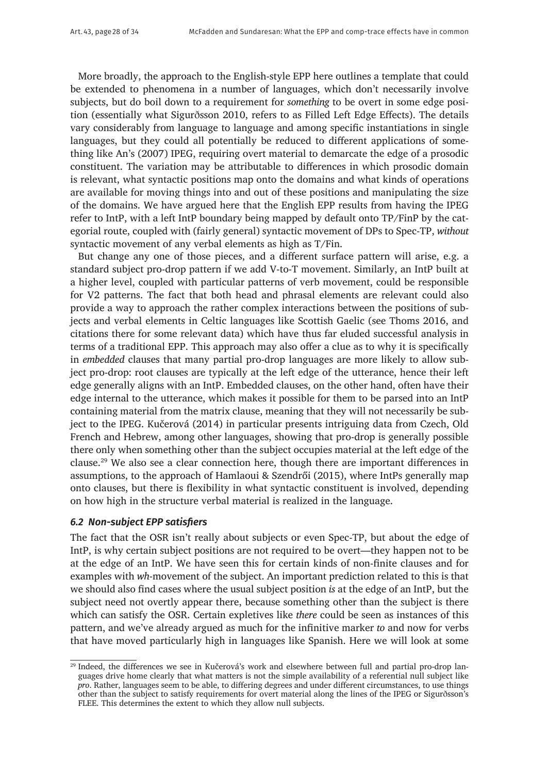More broadly, the approach to the English-style EPP here outlines a template that could be extended to phenomena in a number of languages, which don't necessarily involve subjects, but do boil down to a requirement for *something* to be overt in some edge position (essentially what Sigurðsson 2010, refers to as Filled Left Edge Effects). The details vary considerably from language to language and among specific instantiations in single languages, but they could all potentially be reduced to different applications of something like An's (2007) IPEG, requiring overt material to demarcate the edge of a prosodic constituent. The variation may be attributable to differences in which prosodic domain is relevant, what syntactic positions map onto the domains and what kinds of operations are available for moving things into and out of these positions and manipulating the size of the domains. We have argued here that the English EPP results from having the IPEG refer to IntP, with a left IntP boundary being mapped by default onto TP/FinP by the categorial route, coupled with (fairly general) syntactic movement of DPs to Spec-TP, *without* syntactic movement of any verbal elements as high as T/Fin.

But change any one of those pieces, and a different surface pattern will arise, e.g. a standard subject pro-drop pattern if we add V-to-T movement. Similarly, an IntP built at a higher level, coupled with particular patterns of verb movement, could be responsible for V2 patterns. The fact that both head and phrasal elements are relevant could also provide a way to approach the rather complex interactions between the positions of subjects and verbal elements in Celtic languages like Scottish Gaelic (see Thoms 2016, and citations there for some relevant data) which have thus far eluded successful analysis in terms of a traditional EPP. This approach may also offer a clue as to why it is specifically in *embedded* clauses that many partial pro-drop languages are more likely to allow subject pro-drop: root clauses are typically at the left edge of the utterance, hence their left edge generally aligns with an IntP. Embedded clauses, on the other hand, often have their edge internal to the utterance, which makes it possible for them to be parsed into an IntP containing material from the matrix clause, meaning that they will not necessarily be subject to the IPEG. Kučerová (2014) in particular presents intriguing data from Czech, Old French and Hebrew, among other languages, showing that pro-drop is generally possible there only when something other than the subject occupies material at the left edge of the clause.29 We also see a clear connection here, though there are important differences in assumptions, to the approach of Hamlaoui & Szendrői (2015), where IntPs generally map onto clauses, but there is flexibility in what syntactic constituent is involved, depending on how high in the structure verbal material is realized in the language.

# *6.2 Non-subject EPP satisfiers*

The fact that the OSR isn't really about subjects or even Spec-TP, but about the edge of IntP, is why certain subject positions are not required to be overt—they happen not to be at the edge of an IntP. We have seen this for certain kinds of non-finite clauses and for examples with *wh*-movement of the subject. An important prediction related to this is that we should also find cases where the usual subject position *is* at the edge of an IntP, but the subject need not overtly appear there, because something other than the subject is there which can satisfy the OSR. Certain expletives like *there* could be seen as instances of this pattern, and we've already argued as much for the infinitive marker *to* and now for verbs that have moved particularly high in languages like Spanish. Here we will look at some

<sup>&</sup>lt;sup>29</sup> Indeed, the differences we see in Kučerová's work and elsewhere between full and partial pro-drop languages drive home clearly that what matters is not the simple availability of a referential null subject like *pro*. Rather, languages seem to be able, to differing degrees and under different circumstances, to use things other than the subject to satisfy requirements for overt material along the lines of the IPEG or Sigurðsson's FLEE. This determines the extent to which they allow null subjects.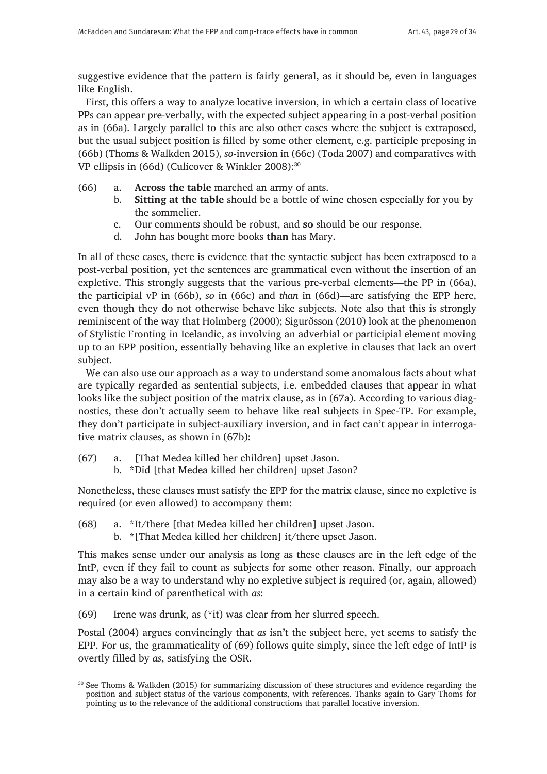suggestive evidence that the pattern is fairly general, as it should be, even in languages like English.

First, this offers a way to analyze locative inversion, in which a certain class of locative PPs can appear pre-verbally, with the expected subject appearing in a post-verbal position as in (66a). Largely parallel to this are also other cases where the subject is extraposed, but the usual subject position is filled by some other element, e.g. participle preposing in (66b) (Thoms & Walkden 2015), *so*-inversion in (66c) (Toda 2007) and comparatives with VP ellipsis in (66d) (Culicover & Winkler 2008):<sup>30</sup>

- (66) a. **Across the table** marched an army of ants.
	- b. **Sitting at the table** should be a bottle of wine chosen especially for you by the sommelier.
	- c. Our comments should be robust, and **so** should be our response.
	- d. John has bought more books **than** has Mary.

In all of these cases, there is evidence that the syntactic subject has been extraposed to a post-verbal position, yet the sentences are grammatical even without the insertion of an expletive. This strongly suggests that the various pre-verbal elements—the PP in (66a), the participial vP in (66b), *so* in (66c) and *than* in (66d)—are satisfying the EPP here, even though they do not otherwise behave like subjects. Note also that this is strongly reminiscent of the way that Holmberg (2000); Sigurðsson (2010) look at the phenomenon of Stylistic Fronting in Icelandic, as involving an adverbial or participial element moving up to an EPP position, essentially behaving like an expletive in clauses that lack an overt subject.

We can also use our approach as a way to understand some anomalous facts about what are typically regarded as sentential subjects, i.e. embedded clauses that appear in what looks like the subject position of the matrix clause, as in (67a). According to various diagnostics, these don't actually seem to behave like real subjects in Spec-TP. For example, they don't participate in subject-auxiliary inversion, and in fact can't appear in interrogative matrix clauses, as shown in (67b):

- (67) a. [That Medea killed her children] upset Jason.
	- b. \*Did [that Medea killed her children] upset Jason?

Nonetheless, these clauses must satisfy the EPP for the matrix clause, since no expletive is required (or even allowed) to accompany them:

- (68) a. \*It/there [that Medea killed her children] upset Jason.
	- b. \*[That Medea killed her children] it/there upset Jason.

This makes sense under our analysis as long as these clauses are in the left edge of the IntP, even if they fail to count as subjects for some other reason. Finally, our approach may also be a way to understand why no expletive subject is required (or, again, allowed) in a certain kind of parenthetical with *as*:

(69) Irene was drunk, as (\*it) was clear from her slurred speech.

Postal (2004) argues convincingly that *as* isn't the subject here, yet seems to satisfy the EPP. For us, the grammaticality of (69) follows quite simply, since the left edge of IntP is overtly filled by *as*, satisfying the OSR.

<sup>30</sup> See Thoms & Walkden (2015) for summarizing discussion of these structures and evidence regarding the position and subject status of the various components, with references. Thanks again to Gary Thoms for pointing us to the relevance of the additional constructions that parallel locative inversion.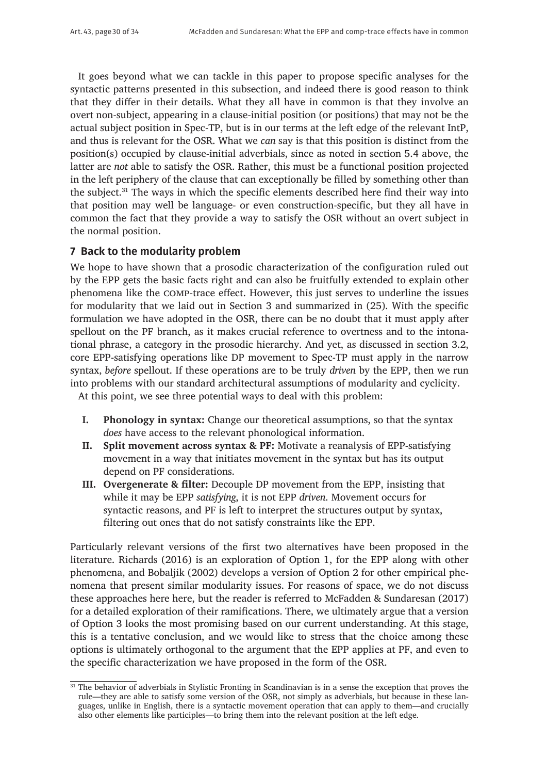It goes beyond what we can tackle in this paper to propose specific analyses for the syntactic patterns presented in this subsection, and indeed there is good reason to think that they differ in their details. What they all have in common is that they involve an overt non-subject, appearing in a clause-initial position (or positions) that may not be the actual subject position in Spec-TP, but is in our terms at the left edge of the relevant IntP, and thus is relevant for the OSR. What we *can* say is that this position is distinct from the position(s) occupied by clause-initial adverbials, since as noted in section 5.4 above, the latter are *not* able to satisfy the OSR. Rather, this must be a functional position projected in the left periphery of the clause that can exceptionally be filled by something other than the subject.<sup>31</sup> The ways in which the specific elements described here find their way into that position may well be language- or even construction-specific, but they all have in common the fact that they provide a way to satisfy the OSR without an overt subject in the normal position.

# **7 Back to the modularity problem**

We hope to have shown that a prosodic characterization of the configuration ruled out by the EPP gets the basic facts right and can also be fruitfully extended to explain other phenomena like the comp-trace effect. However, this just serves to underline the issues for modularity that we laid out in Section 3 and summarized in (25). With the specific formulation we have adopted in the OSR, there can be no doubt that it must apply after spellout on the PF branch, as it makes crucial reference to overtness and to the intonational phrase, a category in the prosodic hierarchy. And yet, as discussed in section 3.2, core EPP-satisfying operations like DP movement to Spec-TP must apply in the narrow syntax, *before* spellout. If these operations are to be truly *driven* by the EPP, then we run into problems with our standard architectural assumptions of modularity and cyclicity.

At this point, we see three potential ways to deal with this problem:

- **I. Phonology in syntax:** Change our theoretical assumptions, so that the syntax *does* have access to the relevant phonological information.
- **II. Split movement across syntax & PF:** Motivate a reanalysis of EPP-satisfying movement in a way that initiates movement in the syntax but has its output depend on PF considerations.
- **III. Overgenerate & filter:** Decouple DP movement from the EPP, insisting that while it may be EPP *satisfying*, it is not EPP *driven*. Movement occurs for syntactic reasons, and PF is left to interpret the structures output by syntax, filtering out ones that do not satisfy constraints like the EPP.

Particularly relevant versions of the first two alternatives have been proposed in the literature. Richards (2016) is an exploration of Option 1, for the EPP along with other phenomena, and Bobaljik (2002) develops a version of Option 2 for other empirical phenomena that present similar modularity issues. For reasons of space, we do not discuss these approaches here here, but the reader is referred to McFadden & Sundaresan (2017) for a detailed exploration of their ramifications. There, we ultimately argue that a version of Option 3 looks the most promising based on our current understanding. At this stage, this is a tentative conclusion, and we would like to stress that the choice among these options is ultimately orthogonal to the argument that the EPP applies at PF, and even to the specific characterization we have proposed in the form of the OSR.

<sup>&</sup>lt;sup>31</sup> The behavior of adverbials in Stylistic Fronting in Scandinavian is in a sense the exception that proves the rule—they are able to satisfy some version of the OSR, not simply as adverbials, but because in these languages, unlike in English, there is a syntactic movement operation that can apply to them—and crucially also other elements like participles—to bring them into the relevant position at the left edge.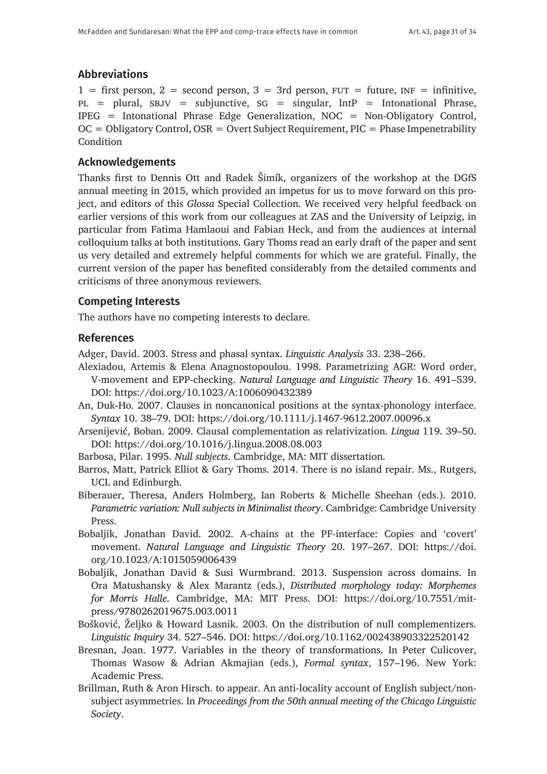# **Abbreviations**

 $1 =$  first person,  $2 =$  second person,  $3 = 3$ rd person,  $FUT =$  future,  $INF =$  infinitive,  $PL$  = plural, SBJV = subjunctive, SG = singular, IntP = Intonational Phrase, IPEG = Intonational Phrase Edge Generalization, NOC = Non-Obligatory Control,  $OC = Obligatory Control, OSR = Overt Subject Required, PIC = Phase Imperability$ **Condition** 

# **Acknowledgements**

Thanks first to Dennis Ott and Radek Šimík, organizers of the workshop at the DGfS annual meeting in 2015, which provided an impetus for us to move forward on this project, and editors of this *Glossa* Special Collection. We received very helpful feedback on earlier versions of this work from our colleagues at ZAS and the University of Leipzig, in particular from Fatima Hamlaoui and Fabian Heck, and from the audiences at internal colloquium talks at both institutions. Gary Thoms read an early draft of the paper and sent us very detailed and extremely helpful comments for which we are grateful. Finally, the current version of the paper has benefited considerably from the detailed comments and criticisms of three anonymous reviewers.

# **Competing Interests**

The authors have no competing interests to declare.

# **References**

Adger, David. 2003. Stress and phasal syntax. *Linguistic Analysis* 33. 238–266.

- Alexiadou, Artemis & Elena Anagnostopoulou. 1998. Parametrizing AGR: Word order, V-movement and EPP-checking. *Natural Language and Linguistic Theory* 16. 491–539. DOI: <https://doi.org/10.1023/A:1006090432389>
- An, Duk-Ho. 2007. Clauses in noncanonical positions at the syntax-phonology interface. *Syntax* 10. 38–79. DOI:<https://doi.org/10.1111/j.1467-9612.2007.00096.x>
- Arsenijević, Boban. 2009. Clausal complementation as relativization. *Lingua* 119. 39–50. DOI: <https://doi.org/10.1016/j.lingua.2008.08.003>
- Barbosa, Pilar. 1995. *Null subjects*. Cambridge, MA: MIT dissertation.
- Barros, Matt, Patrick Elliot & Gary Thoms. 2014. There is no island repair. Ms., Rutgers, UCL and Edinburgh.
- Biberauer, Theresa, Anders Holmberg, Ian Roberts & Michelle Sheehan (eds.). 2010. *Parametric variation: Null subjects in Minimalist theory*. Cambridge: Cambridge University Press.
- Bobaljik, Jonathan David. 2002. A-chains at the PF-interface: Copies and 'covert' movement. *Natural Language and Linguistic Theory* 20. 197–267. DOI: [https://doi.](https://doi.org/10.1023/A:1015059006439) [org/10.1023/A:1015059006439](https://doi.org/10.1023/A:1015059006439)
- Bobaljik, Jonathan David & Susi Wurmbrand. 2013. Suspension across domains. In Ora Matushansky & Alex Marantz (eds.), *Distributed morphology today: Morphemes for Morris Halle*. Cambridge, MA: MIT Press. DOI: [https://doi.org/10.7551/mit](https://doi.org/10.7551/mitpress/9780262019675.003.0011)[press/9780262019675.003.0011](https://doi.org/10.7551/mitpress/9780262019675.003.0011)
- Bošković, Željko & Howard Lasnik. 2003. On the distribution of null complementizers. *Linguistic Inquiry* 34. 527–546. DOI:<https://doi.org/10.1162/002438903322520142>
- Bresnan, Joan. 1977. Variables in the theory of transformations. In Peter Culicover, Thomas Wasow & Adrian Akmajian (eds.), *Formal syntax*, 157–196. New York: Academic Press.
- Brillman, Ruth & Aron Hirsch. to appear. An anti-locality account of English subject/nonsubject asymmetries. In *Proceedings from the 50th annual meeting of the Chicago Linguistic Society*.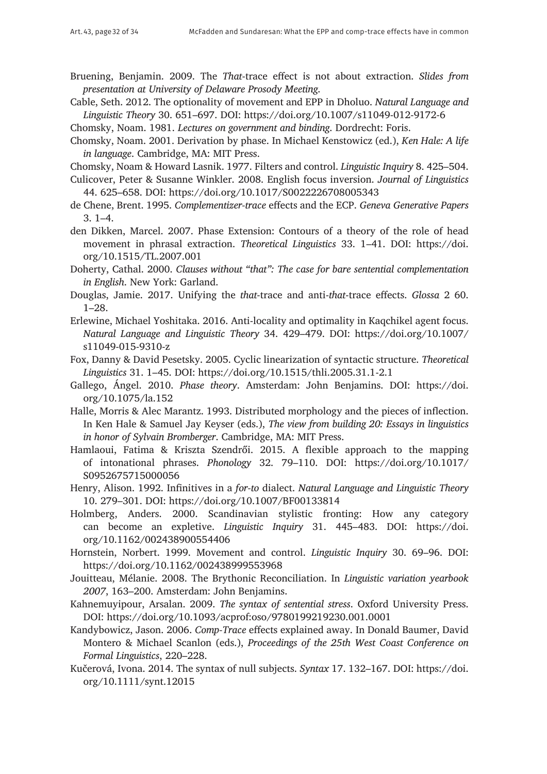- Bruening, Benjamin. 2009. The *That*-trace effect is not about extraction. *Slides from presentation at University of Delaware Prosody Meeting*.
- Cable, Seth. 2012. The optionality of movement and EPP in Dholuo. *Natural Language and Linguistic Theory* 30. 651–697. DOI: <https://doi.org/10.1007/s11049-012-9172-6>

Chomsky, Noam. 1981. *Lectures on government and binding*. Dordrecht: Foris.

Chomsky, Noam. 2001. Derivation by phase. In Michael Kenstowicz (ed.), *Ken Hale: A life in language*. Cambridge, MA: MIT Press.

Chomsky, Noam & Howard Lasnik. 1977. Filters and control. *Linguistic Inquiry* 8. 425–504.

Culicover, Peter & Susanne Winkler. 2008. English focus inversion. *Journal of Linguistics* 44. 625–658. DOI: <https://doi.org/10.1017/S0022226708005343>

- de Chene, Brent. 1995. *Complementizer-trace* effects and the ECP. *Geneva Generative Papers* 3. 1–4.
- den Dikken, Marcel. 2007. Phase Extension: Contours of a theory of the role of head movement in phrasal extraction. *Theoretical Linguistics* 33. 1–41. DOI: [https://doi.](https://doi.org/10.1515/TL.2007.001) [org/10.1515/TL.2007.001](https://doi.org/10.1515/TL.2007.001)

Doherty, Cathal. 2000. *Clauses without "that": The case for bare sentential complementation in English*. New York: Garland.

- Douglas, Jamie. 2017. Unifying the *that*-trace and anti-*that*-trace effects. *Glossa* 2 60. 1–28.
- Erlewine, Michael Yoshitaka. 2016. Anti-locality and optimality in Kaqchikel agent focus. *Natural Language and Linguistic Theory* 34. 429–479. DOI: [https://doi.org/10.1007/](https://doi.org/10.1007/s11049-015-9310-z) [s11049-015-9310-z](https://doi.org/10.1007/s11049-015-9310-z)
- Fox, Danny & David Pesetsky. 2005. Cyclic linearization of syntactic structure. *Theoretical Linguistics* 31. 1–45. DOI: <https://doi.org/10.1515/thli.2005.31.1-2.1>
- Gallego, Ángel. 2010. *Phase theory*. Amsterdam: John Benjamins. DOI: [https://doi.](https://doi.org/10.1075/la.152) [org/10.1075/la.152](https://doi.org/10.1075/la.152)
- Halle, Morris & Alec Marantz. 1993. Distributed morphology and the pieces of inflection. In Ken Hale & Samuel Jay Keyser (eds.), *The view from building 20: Essays in linguistics in honor of Sylvain Bromberger*. Cambridge, MA: MIT Press.
- Hamlaoui, Fatima & Kriszta Szendrői. 2015. A flexible approach to the mapping of intonational phrases. *Phonology* 32. 79–110. DOI: [https://doi.org/10.1017/](https://doi.org/10.1017/S0952675715000056) [S0952675715000056](https://doi.org/10.1017/S0952675715000056)
- Henry, Alison. 1992. Infinitives in a *for-to* dialect. *Natural Language and Linguistic Theory* 10. 279–301. DOI: <https://doi.org/10.1007/BF00133814>
- Holmberg, Anders. 2000. Scandinavian stylistic fronting: How any category can become an expletive. *Linguistic Inquiry* 31. 445–483. DOI: [https://doi.](https://doi.org/10.1162/002438900554406) [org/10.1162/002438900554406](https://doi.org/10.1162/002438900554406)
- Hornstein, Norbert. 1999. Movement and control. *Linguistic Inquiry* 30. 69–96. DOI: <https://doi.org/10.1162/002438999553968>
- Jouitteau, Mélanie. 2008. The Brythonic Reconciliation. In *Linguistic variation yearbook 2007*, 163–200. Amsterdam: John Benjamins.
- Kahnemuyipour, Arsalan. 2009. *The syntax of sentential stress*. Oxford University Press. DOI:<https://doi.org/10.1093/acprof:oso/9780199219230.001.0001>
- Kandybowicz, Jason. 2006. *Comp-Trace* effects explained away. In Donald Baumer, David Montero & Michael Scanlon (eds.), *Proceedings of the 25th West Coast Conference on Formal Linguistics*, 220–228.
- Kučerová, Ivona. 2014. The syntax of null subjects. *Syntax* 17. 132–167. DOI: [https://doi.](https://doi.org/10.1111/synt.12015) [org/10.1111/synt.12015](https://doi.org/10.1111/synt.12015)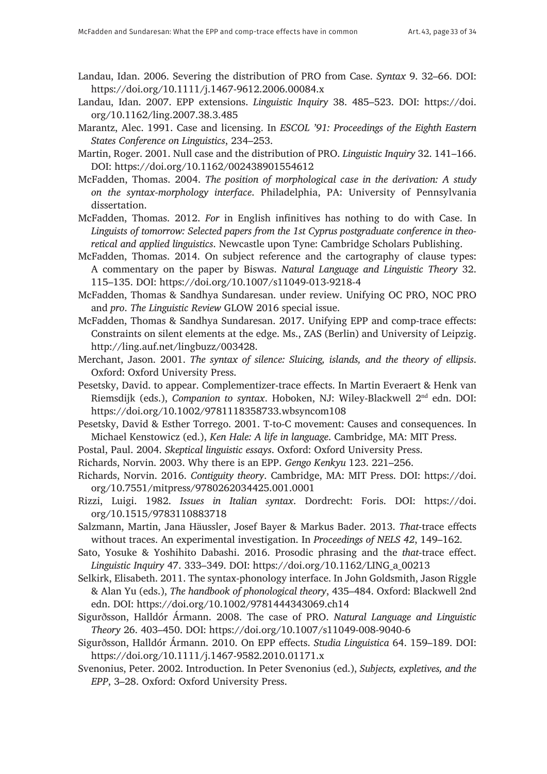- Landau, Idan. 2006. Severing the distribution of PRO from Case. *Syntax* 9. 32–66. DOI: <https://doi.org/10.1111/j.1467-9612.2006.00084.x>
- Landau, Idan. 2007. EPP extensions. *Linguistic Inquiry* 38. 485–523. DOI: [https://doi.](https://doi.org/10.1162/ling.2007.38.3.485) [org/10.1162/ling.2007.38.3.485](https://doi.org/10.1162/ling.2007.38.3.485)
- Marantz, Alec. 1991. Case and licensing. In *ESCOL '91: Proceedings of the Eighth Eastern States Conference on Linguistics*, 234–253.
- Martin, Roger. 2001. Null case and the distribution of PRO. *Linguistic Inquiry* 32. 141–166. DOI: <https://doi.org/10.1162/002438901554612>
- McFadden, Thomas. 2004. *The position of morphological case in the derivation: A study on the syntax-morphology interface*. Philadelphia, PA: University of Pennsylvania dissertation.
- McFadden, Thomas. 2012. *For* in English infinitives has nothing to do with Case. In *Linguists of tomorrow: Selected papers from the 1st Cyprus postgraduate conference in theoretical and applied linguistics*. Newcastle upon Tyne: Cambridge Scholars Publishing.
- McFadden, Thomas. 2014. On subject reference and the cartography of clause types: A commentary on the paper by Biswas. *Natural Language and Linguistic Theory* 32. 115–135. DOI: <https://doi.org/10.1007/s11049-013-9218-4>
- McFadden, Thomas & Sandhya Sundaresan. under review. Unifying OC PRO, NOC PRO and *pro*. *The Linguistic Review* GLOW 2016 special issue.
- McFadden, Thomas & Sandhya Sundaresan. 2017. Unifying EPP and comp-trace effects: Constraints on silent elements at the edge. Ms., ZAS (Berlin) and University of Leipzig. <http://ling.auf.net/lingbuzz/003428>.
- Merchant, Jason. 2001. *The syntax of silence: Sluicing, islands, and the theory of ellipsis*. Oxford: Oxford University Press.
- Pesetsky, David. to appear. Complementizer-trace effects. In Martin Everaert & Henk van Riemsdijk (eds.), *Companion to syntax*. Hoboken, NJ: Wiley-Blackwell 2nd edn. DOI: <https://doi.org/10.1002/9781118358733.wbsyncom108>
- Pesetsky, David & Esther Torrego. 2001. T-to-C movement: Causes and consequences. In Michael Kenstowicz (ed.), *Ken Hale: A life in language*. Cambridge, MA: MIT Press.
- Postal, Paul. 2004. *Skeptical linguistic essays*. Oxford: Oxford University Press.
- Richards, Norvin. 2003. Why there is an EPP. *Gengo Kenkyu* 123. 221–256.
- Richards, Norvin. 2016. *Contiguity theory*. Cambridge, MA: MIT Press. DOI: [https://doi.](https://doi.org/10.7551/mitpress/9780262034425.001.0001) [org/10.7551/mitpress/9780262034425.001.0001](https://doi.org/10.7551/mitpress/9780262034425.001.0001)
- Rizzi, Luigi. 1982. *Issues in Italian syntax*. Dordrecht: Foris. DOI: [https://doi.](https://doi.org/10.1515/9783110883718) [org/10.1515/9783110883718](https://doi.org/10.1515/9783110883718)
- Salzmann, Martin, Jana Häussler, Josef Bayer & Markus Bader. 2013. *That*-trace effects without traces. An experimental investigation. In *Proceedings of NELS 42*, 149–162.
- Sato, Yosuke & Yoshihito Dabashi. 2016. Prosodic phrasing and the *that*-trace effect. *Linguistic Inquiry* 47. 333–349. DOI: [https://doi.org/10.1162/LING\\_a\\_00213](https://doi.org/10.1162/LING_a_00213)
- Selkirk, Elisabeth. 2011. The syntax-phonology interface. In John Goldsmith, Jason Riggle & Alan Yu (eds.), *The handbook of phonological theory*, 435–484. Oxford: Blackwell 2nd edn. DOI: <https://doi.org/10.1002/9781444343069.ch14>
- Sigurðsson, Halldór Ármann. 2008. The case of PRO. *Natural Language and Linguistic Theory* 26. 403–450. DOI: <https://doi.org/10.1007/s11049-008-9040-6>
- Sigurðsson, Halldór Ármann. 2010. On EPP effects. *Studia Linguistica* 64. 159–189. DOI: <https://doi.org/10.1111/j.1467-9582.2010.01171.x>
- Svenonius, Peter. 2002. Introduction. In Peter Svenonius (ed.), *Subjects, expletives, and the EPP*, 3–28. Oxford: Oxford University Press.